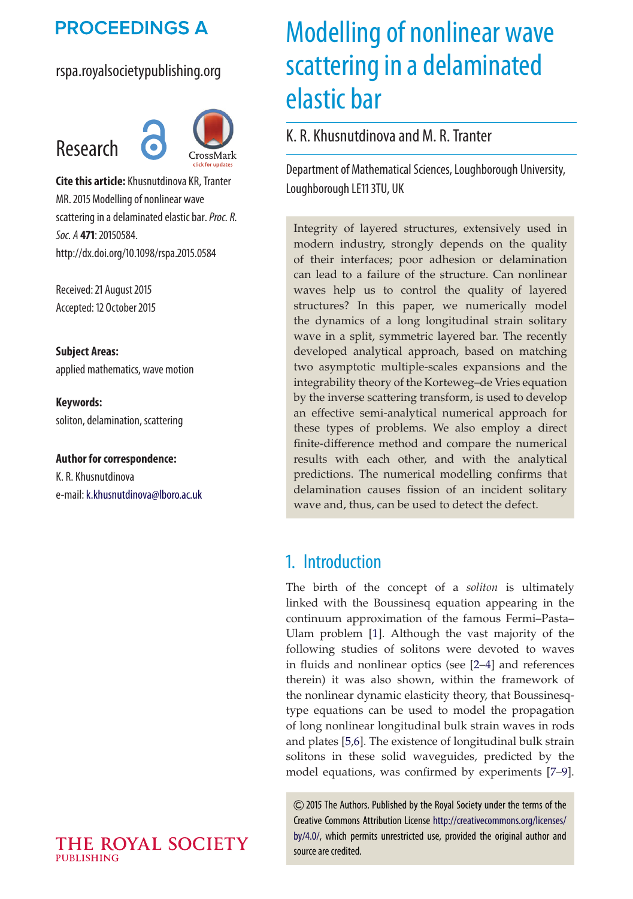## **PROCEEDINGS A**

## rspa.royalsocietypublishing.org



**Cite this article:** Khusnutdinova KR, Tranter MR. 2015 Modelling of nonlinear wave scattering in a delaminated elastic bar.*Proc. R. Soc. A* **471**: 20150584. http://dx.doi.org/10.1098/rspa.2015.0584

Received: 21 August 2015 Accepted: 12 October 2015

**Subject Areas:** applied mathematics, wave motion

**Keywords:** soliton, delamination, scattering

**Author for correspondence:** K. R. Khusnutdinova e-mail: [k.khusnutdinova@lboro.ac.uk](mailto:k.khusnutdinova@lboro.ac.uk)

# Modelling of nonlinear wave scattering in a delaminated elastic bar

## K. R. Khusnutdinova and M. R. Tranter

Department of Mathematical Sciences, Loughborough University, Loughborough LE11 3TU, UK

Integrity of layered structures, extensively used in modern industry, strongly depends on the quality of their interfaces; poor adhesion or delamination can lead to a failure of the structure. Can nonlinear waves help us to control the quality of layered structures? In this paper, we numerically model the dynamics of a long longitudinal strain solitary wave in a split, symmetric layered bar. The recently developed analytical approach, based on matching two asymptotic multiple-scales expansions and the integrability theory of the Korteweg–de Vries equation by the inverse scattering transform, is used to develop an effective semi-analytical numerical approach for these types of problems. We also employ a direct finite-difference method and compare the numerical results with each other, and with the analytical predictions. The numerical modelling confirms that delamination causes fission of an incident solitary wave and, thus, can be used to detect the defect.

## 1. Introduction

The birth of the concept of a *soliton* is ultimately linked with the Boussinesq equation appearing in the continuum approximation of the famous Fermi–Pasta– Ulam problem [\[1\]](#page-17-0). Although the vast majority of the following studies of solitons were devoted to waves in fluids and nonlinear optics (see [\[2–](#page-17-1)[4\]](#page-17-2) and references therein) it was also shown, within the framework of the nonlinear dynamic elasticity theory, that Boussinesqtype equations can be used to model the propagation of long nonlinear longitudinal bulk strain waves in rods and plates [\[5,](#page-17-3)[6\]](#page-17-4). The existence of longitudinal bulk strain solitons in these solid waveguides, predicted by the model equations, was confirmed by experiments [\[7](#page-17-5)[–9\]](#page-17-6).

2015 The Authors. Published by the Royal Society under the terms of the Creative Commons Attribution License [http://creativecommons.org/licenses/](http://creativecommons.org/licenses/by/4.0/) [by/4.0/,](http://creativecommons.org/licenses/by/4.0/) which permits unrestricted use, provided the original author and source are credited.

#### THE ROYAL SOCIETY **PUBLISHING**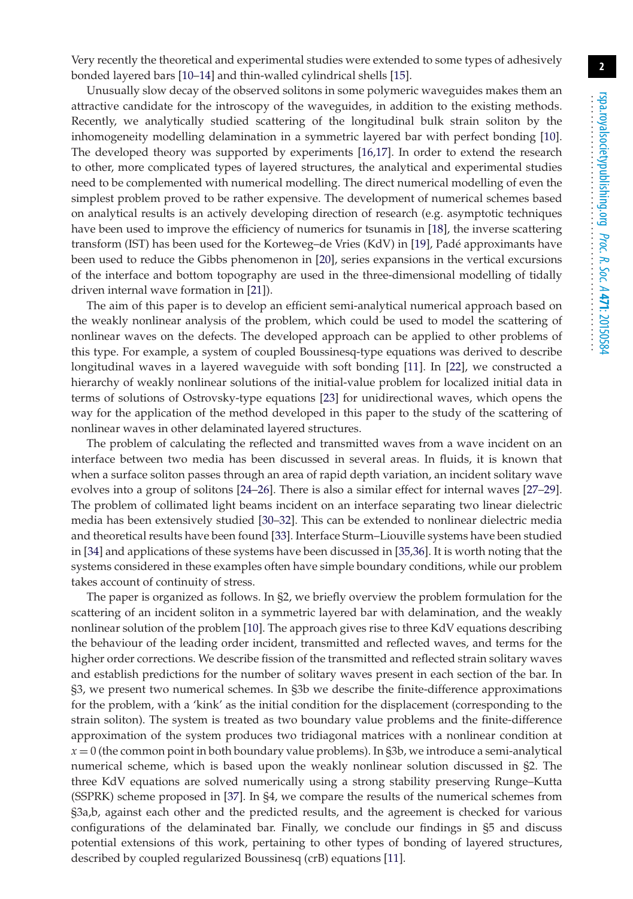Very recently the theoretical and experimental studies were extended to some types of adhesively bonded layered bars [\[10](#page-17-7)[–14\]](#page-17-8) and thin-walled cylindrical shells [\[15\]](#page-17-9).

Unusually slow decay of the observed solitons in some polymeric waveguides makes them an attractive candidate for the introscopy of the waveguides, in addition to the existing methods. Recently, we analytically studied scattering of the longitudinal bulk strain soliton by the inhomogeneity modelling delamination in a symmetric layered bar with perfect bonding [\[10\]](#page-17-7). The developed theory was supported by experiments [\[16,](#page-17-10)[17\]](#page-17-11). In order to extend the research to other, more complicated types of layered structures, the analytical and experimental studies need to be complemented with numerical modelling. The direct numerical modelling of even the simplest problem proved to be rather expensive. The development of numerical schemes based on analytical results is an actively developing direction of research (e.g. asymptotic techniques have been used to improve the efficiency of numerics for tsunamis in [\[18\]](#page-17-12), the inverse scattering transform (IST) has been used for the Korteweg–de Vries (KdV) in [\[19\]](#page-17-13), Padé approximants have been used to reduce the Gibbs phenomenon in [\[20\]](#page-18-0), series expansions in the vertical excursions of the interface and bottom topography are used in the three-dimensional modelling of tidally driven internal wave formation in [\[21\]](#page-18-1)).

The aim of this paper is to develop an efficient semi-analytical numerical approach based on the weakly nonlinear analysis of the problem, which could be used to model the scattering of nonlinear waves on the defects. The developed approach can be applied to other problems of this type. For example, a system of coupled Boussinesq-type equations was derived to describe longitudinal waves in a layered waveguide with soft bonding [\[11\]](#page-17-14). In [\[22\]](#page-18-2), we constructed a hierarchy of weakly nonlinear solutions of the initial-value problem for localized initial data in terms of solutions of Ostrovsky-type equations [\[23\]](#page-18-3) for unidirectional waves, which opens the way for the application of the method developed in this paper to the study of the scattering of nonlinear waves in other delaminated layered structures.

The problem of calculating the reflected and transmitted waves from a wave incident on an interface between two media has been discussed in several areas. In fluids, it is known that when a surface soliton passes through an area of rapid depth variation, an incident solitary wave evolves into a group of solitons [\[24](#page-18-4)[–26\]](#page-18-5). There is also a similar effect for internal waves [\[27–](#page-18-6)[29\]](#page-18-7). The problem of collimated light beams incident on an interface separating two linear dielectric media has been extensively studied [\[30](#page-18-8)[–32\]](#page-18-9). This can be extended to nonlinear dielectric media and theoretical results have been found [\[33\]](#page-18-10). Interface Sturm–Liouville systems have been studied in [\[34\]](#page-18-11) and applications of these systems have been discussed in [\[35,](#page-18-12)[36\]](#page-18-13). It is worth noting that the systems considered in these examples often have simple boundary conditions, while our problem takes account of continuity of stress.

The paper is organized as follows. In §2, we briefly overview the problem formulation for the scattering of an incident soliton in a symmetric layered bar with delamination, and the weakly nonlinear solution of the problem [\[10\]](#page-17-7). The approach gives rise to three KdV equations describing the behaviour of the leading order incident, transmitted and reflected waves, and terms for the higher order corrections. We describe fission of the transmitted and reflected strain solitary waves and establish predictions for the number of solitary waves present in each section of the bar. In §3, we present two numerical schemes. In §3b we describe the finite-difference approximations for the problem, with a 'kink' as the initial condition for the displacement (corresponding to the strain soliton). The system is treated as two boundary value problems and the finite-difference approximation of the system produces two tridiagonal matrices with a nonlinear condition at  $x = 0$  (the common point in both boundary value problems). In §3b, we introduce a semi-analytical numerical scheme, which is based upon the weakly nonlinear solution discussed in §2. The three KdV equations are solved numerically using a strong stability preserving Runge–Kutta (SSPRK) scheme proposed in [\[37\]](#page-18-14). In §4, we compare the results of the numerical schemes from §3a,b, against each other and the predicted results, and the agreement is checked for various configurations of the delaminated bar. Finally, we conclude our findings in §5 and discuss potential extensions of this work, pertaining to other types of bonding of layered structures, described by coupled regularized Boussinesq (crB) equations [\[11\]](#page-17-14).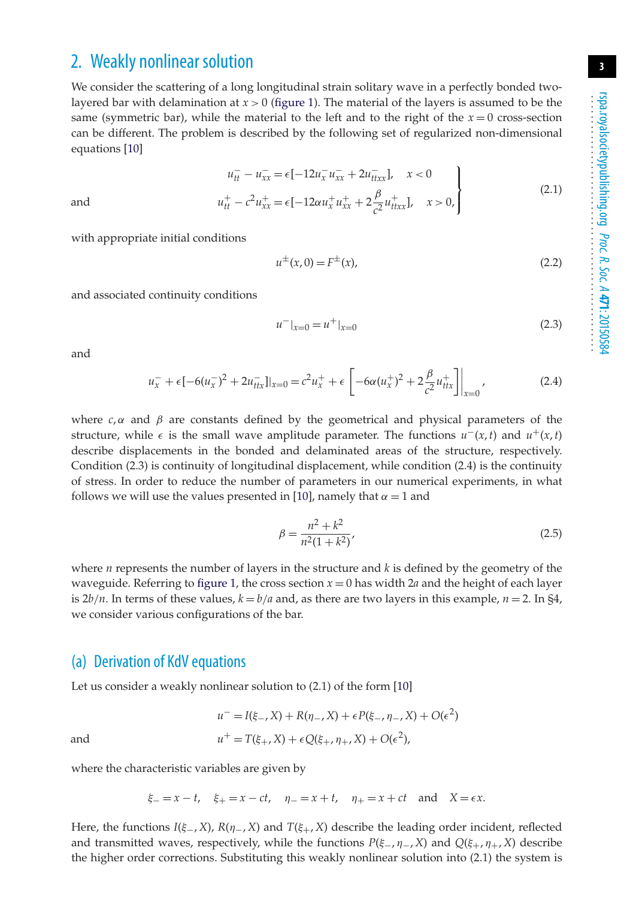## 2. Weakly nonlinear solution

We consider the scattering of a long longitudinal strain solitary wave in a perfectly bonded twolayered bar with delamination at  $x > 0$  [\(figure 1\)](#page-3-0). The material of the layers is assumed to be the same (symmetric bar), while the material to the left and to the right of the  $x = 0$  cross-section can be different. The problem is described by the following set of regularized non-dimensional equations [\[10\]](#page-17-7)

$$
u_{tt}^- - u_{xx}^- = \epsilon [-12u_x^- u_{xx}^- + 2u_{txx}^-] , \quad x < 0
$$
 (2.1)

$$
u_{tt}^{+} - c^{2}u_{xx}^{+} = \epsilon [-12\alpha u_{x}^{+} u_{xx}^{+} + 2\frac{\beta}{c^{2}} u_{ttxx}^{+}], \quad x > 0,
$$
\n
$$
(2.1)
$$

and  $u_{tt}^+$ 

with appropriate initial conditions

$$
u^{\pm}(x,0) = F^{\pm}(x),
$$
\n(2.2)

and associated continuity conditions

$$
u^-|_{x=0} = u^+|_{x=0} \tag{2.3}
$$

and

$$
u_x^- + \epsilon [-6(u_x^-)^2 + 2u_{ttx}^-]_{x=0} = c^2 u_x^+ + \epsilon \left[ -6\alpha (u_x^+)^2 + 2\frac{\beta}{c^2} u_{ttx}^+ \right] \Big|_{x=0}, \tag{2.4}
$$

where  $c, \alpha$  and  $\beta$  are constants defined by the geometrical and physical parameters of the structure, while  $\epsilon$  is the small wave amplitude parameter. The functions  $u^-(x,t)$  and  $u^+(x,t)$ describe displacements in the bonded and delaminated areas of the structure, respectively. Condition (2.3) is continuity of longitudinal displacement, while condition (2.4) is the continuity of stress. In order to reduce the number of parameters in our numerical experiments, in what follows we will use the values presented in [\[10\]](#page-17-7), namely that  $\alpha = 1$  and

$$
\beta = \frac{n^2 + k^2}{n^2(1 + k^2)},\tag{2.5}
$$

where *n* represents the number of layers in the structure and *k* is defined by the geometry of the waveguide. Referring to [figure 1,](#page-3-0) the cross section  $x = 0$  has width 2*a* and the height of each layer is  $2b/n$ . In terms of these values,  $k = b/a$  and, as there are two layers in this example,  $n = 2$ . In §4, we consider various configurations of the bar.

#### (a) Derivation of KdV equations

Let us consider a weakly nonlinear solution to (2.1) of the form [\[10\]](#page-17-7)

$$
u^- = I(\xi_-, X) + R(\eta_-, X) + \epsilon P(\xi_-, \eta_-, X) + O(\epsilon^2)
$$
  
and  

$$
u^+ = T(\xi_+, X) + \epsilon Q(\xi_+, \eta_+, X) + O(\epsilon^2),
$$

where the characteristic variables are given by

$$
\xi_{-} = x - t
$$
,  $\xi_{+} = x - ct$ ,  $\eta_{-} = x + t$ ,  $\eta_{+} = x + ct$  and  $X = \epsilon x$ .

Here, the functions *I*(ξ−, *X*), *R*(η−, *X*) and *T*(ξ+, *X*) describe the leading order incident, reflected and transmitted waves, respectively, while the functions  $P(\xi_-, \eta_-, X)$  and  $Q(\xi_+, \eta_+, X)$  describe the higher order corrections. Substituting this weakly nonlinear solution into (2.1) the system is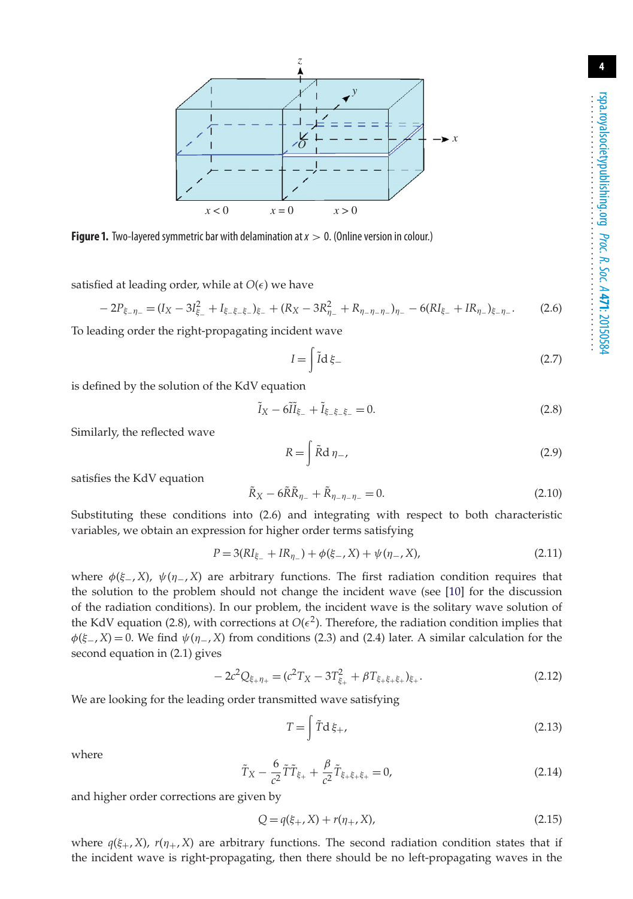

<span id="page-3-0"></span>**Figure 1.** Two-layered symmetric bar with delamination at*x* > 0. (Online version in colour.)

satisfied at leading order, while at  $O(\epsilon)$  we have

$$
-2P_{\xi-\eta-} = (I_X - 3I_{\xi-}^2 + I_{\xi-\xi-\xi-})_{\xi-} + (R_X - 3R_{\eta-}^2 + R_{\eta-\eta-\eta-})_{\eta-} - 6(RI_{\xi-} + IR_{\eta-})_{\xi-\eta-}.
$$
(2.6)

To leading order the right-propagating incident wave

$$
I = \int \tilde{I} \, \mathrm{d}\xi \tag{2.7}
$$

is defined by the solution of the KdV equation

$$
\tilde{I}_X - 6\tilde{I}\tilde{I}_{\xi-} + \tilde{I}_{\xi-\xi-\xi-} = 0.
$$
\n(2.8)

Similarly, the reflected wave

$$
R = \int \tilde{R} d\eta_{-},\tag{2.9}
$$

satisfies the KdV equation

$$
\tilde{R}_X - 6\tilde{R}\tilde{R}_{\eta_-} + \tilde{R}_{\eta_- \eta_- \eta_-} = 0.
$$
\n(2.10)

Substituting these conditions into (2.6) and integrating with respect to both characteristic variables, we obtain an expression for higher order terms satisfying

$$
P = 3(RI_{\xi-} + IR_{\eta-}) + \phi(\xi-, X) + \psi(\eta-, X),
$$
\n(2.11)

where  $\phi(\xi_{-}, X)$ ,  $\psi(\eta_{-}, X)$  are arbitrary functions. The first radiation condition requires that the solution to the problem should not change the incident wave (see [\[10\]](#page-17-7) for the discussion of the radiation conditions). In our problem, the incident wave is the solitary wave solution of the KdV equation (2.8), with corrections at  $O(\epsilon^2)$ . Therefore, the radiation condition implies that  $\phi(\xi_{-}, X) = 0$ . We find  $\psi(\eta_{-}, X)$  from conditions (2.3) and (2.4) later. A similar calculation for the second equation in (2.1) gives

$$
-2c^2Q_{\xi+\eta_+} = (c^2T_X - 3T_{\xi_+}^2 + \beta T_{\xi+\xi+\xi_+})_{\xi_+}.
$$
\n(2.12)

We are looking for the leading order transmitted wave satisfying

$$
T = \int \tilde{T} d\xi_{+}, \qquad (2.13)
$$

where

$$
\tilde{T}_X - \frac{6}{c^2} \tilde{T} \tilde{T}_{\xi_+} + \frac{\beta}{c^2} \tilde{T}_{\xi + \xi + \xi_+} = 0, \tag{2.14}
$$

and higher order corrections are given by

$$
Q = q(\xi_+, X) + r(\eta_+, X),
$$
\n(2.15)

where  $q(\xi_{+}, X)$ ,  $r(\eta_{+}, X)$  are arbitrary functions. The second radiation condition states that if the incident wave is right-propagating, then there should be no left-propagating waves in the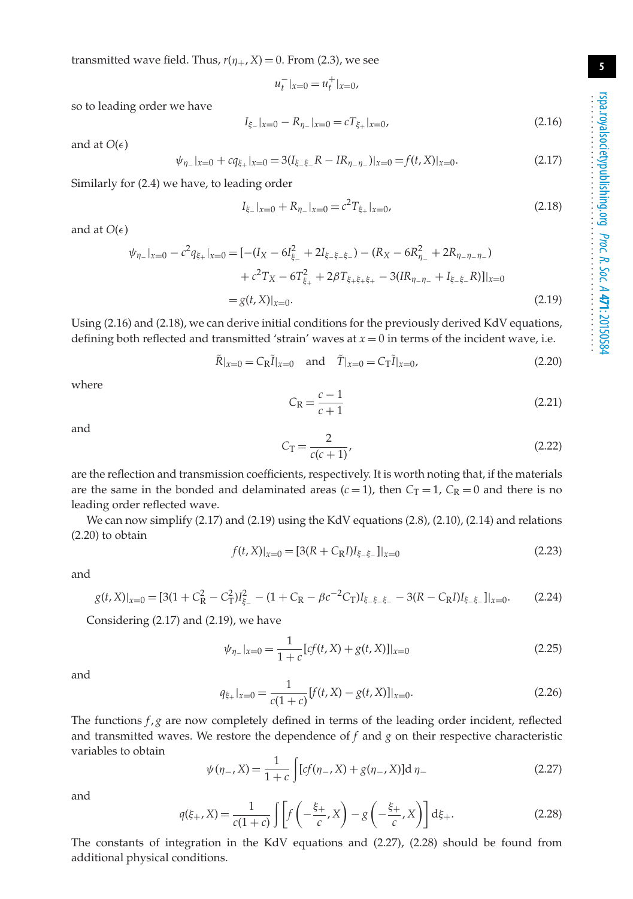transmitted wave field. Thus,  $r(\eta_+, X) = 0$ . From (2.3), we see

 $u_t^-|_{x=0} = u_t^+|_{x=0}$ 

so to leading order we have

$$
I_{\xi_{-}}|_{x=0} - R_{\eta_{-}}|_{x=0} = cT_{\xi_{+}}|_{x=0},
$$
\n(2.16)

and at  $O(\epsilon)$ 

$$
\psi_{\eta_-}|_{x=0} + c q_{\xi_+}|_{x=0} = 3(I_{\xi_-\xi_-}R - IR_{\eta_-\eta_-})|_{x=0} = f(t,X)|_{x=0}.
$$
\n(2.17)

Similarly for (2.4) we have, to leading order

$$
I_{\xi-}|_{x=0} + R_{\eta-}|_{x=0} = c^2 T_{\xi+}|_{x=0},\tag{2.18}
$$

and at  $O(\epsilon)$ 

$$
\psi_{\eta_-}|_{x=0} - c^2 q_{\xi_+}|_{x=0} = [-(I_X - 6I_{\xi_-}^2 + 2I_{\xi_{-}\xi_{-}\xi_{-}}) - (R_X - 6R_{\eta_-}^2 + 2R_{\eta_{-\eta_{-\eta_{-}}}}) \n+ c^2 T_X - 6T_{\xi_+}^2 + 2\beta T_{\xi_{+}\xi_{+}\xi_{+}} - 3(IR_{\eta_{-\eta_{-}}} + I_{\xi_{-}\xi_{-}}R)]|_{x=0} \n= g(t, X)|_{x=0}.
$$
\n(2.19)

Using (2.16) and (2.18), we can derive initial conditions for the previously derived KdV equations, defining both reflected and transmitted 'strain' waves at  $x = 0$  in terms of the incident wave, i.e.

$$
R|_{x=0} = C_R I|_{x=0} \quad \text{and} \quad T|_{x=0} = C_T I|_{x=0}, \tag{2.20}
$$

where

$$
C_{\rm R} = \frac{c-1}{c+1} \tag{2.21}
$$

and

$$
C_{\rm T} = \frac{2}{c(c+1)},
$$
\n(2.22)

are the reflection and transmission coefficients, respectively. It is worth noting that, if the materials are the same in the bonded and delaminated areas  $(c=1)$ , then  $C_T = 1$ ,  $C_R = 0$  and there is no leading order reflected wave.

We can now simplify (2.17) and (2.19) using the KdV equations (2.8), (2.10), (2.14) and relations (2.20) to obtain

$$
f(t, X)|_{x=0} = [3(R + C_R I)I_{\xi - \xi -}]|_{x=0}
$$
\n(2.23)

and

$$
g(t, X)|_{x=0} = [3(1 + C_R^2 - C_T^2)I_{\xi^-}^2 - (1 + C_R - \beta c^{-2}C_T)I_{\xi - \xi - \xi^-} - 3(R - C_R I)I_{\xi - \xi^-}]|_{x=0}.
$$
 (2.24)

Considering (2.17) and (2.19), we have

$$
\psi_{\eta_-}|_{x=0} = \frac{1}{1+c} [cf(t,X) + g(t,X)]|_{x=0}
$$
\n(2.25)

and

$$
q_{\xi+}|_{x=0} = \frac{1}{c(1+c)} [f(t,X) - g(t,X)]|_{x=0}.
$$
\n(2.26)

The functions *f*, *g* are now completely defined in terms of the leading order incident, reflected and transmitted waves. We restore the dependence of  $f$  and  $g$  on their respective characteristic variables to obtain

$$
\psi(\eta_{-}, X) = \frac{1}{1+c} \int [cf(\eta_{-}, X) + g(\eta_{-}, X)] d\eta_{-}
$$
\n(2.27)

and

$$
q(\xi_{+}, X) = \frac{1}{c(1+c)} \int \left[ f\left(-\frac{\xi_{+}}{c}, X\right) - g\left(-\frac{\xi_{+}}{c}, X\right) \right] d\xi_{+}.
$$
 (2.28)

The constants of integration in the KdV equations and (2.27), (2.28) should be found from additional physical conditions.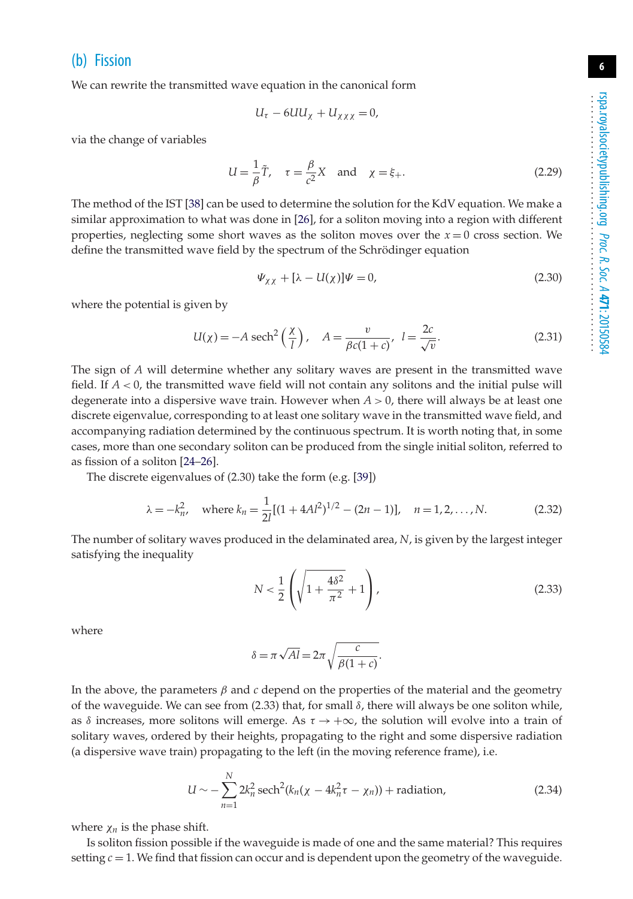#### (b) Fission

We can rewrite the transmitted wave equation in the canonical form

$$
U_{\tau}-6UU_{\chi}+U_{\chi\chi\chi}=0,
$$

via the change of variables

$$
U = \frac{1}{\beta}\tilde{T}, \quad \tau = \frac{\beta}{c^2}X \quad \text{and} \quad \chi = \xi_+.
$$
 (2.29)

The method of the IST [\[38\]](#page-18-15) can be used to determine the solution for the KdV equation. We make a similar approximation to what was done in [\[26\]](#page-18-5), for a soliton moving into a region with different properties, neglecting some short waves as the soliton moves over the  $x = 0$  cross section. We define the transmitted wave field by the spectrum of the Schrödinger equation

$$
\Psi_{\chi\chi} + [\lambda - U(\chi)]\Psi = 0,\tag{2.30}
$$

where the potential is given by

$$
U(\chi) = -A \operatorname{sech}^2\left(\frac{\chi}{l}\right), \quad A = \frac{v}{\beta c(1+c)}, \quad l = \frac{2c}{\sqrt{v}}.\tag{2.31}
$$

The sign of *A* will determine whether any solitary waves are present in the transmitted wave field. If *A* < 0, the transmitted wave field will not contain any solitons and the initial pulse will degenerate into a dispersive wave train. However when  $A > 0$ , there will always be at least one discrete eigenvalue, corresponding to at least one solitary wave in the transmitted wave field, and accompanying radiation determined by the continuous spectrum. It is worth noting that, in some cases, more than one secondary soliton can be produced from the single initial soliton, referred to as fission of a soliton [\[24–](#page-18-4)[26\]](#page-18-5).

The discrete eigenvalues of (2.30) take the form (e.g. [\[39\]](#page-18-16))

$$
\lambda = -k_n^2, \quad \text{where } k_n = \frac{1}{2l} [(1 + 4Al^2)^{1/2} - (2n - 1)], \quad n = 1, 2, \dots, N. \tag{2.32}
$$

The number of solitary waves produced in the delaminated area, *N*, is given by the largest integer satisfying the inequality

$$
N < \frac{1}{2} \left( \sqrt{1 + \frac{4\delta^2}{\pi^2}} + 1 \right),\tag{2.33}
$$

where

$$
\delta = \pi \sqrt{Al} = 2\pi \sqrt{\frac{c}{\beta(1+c)}}.
$$

In the above, the parameters  $\beta$  and  $c$  depend on the properties of the material and the geometry of the waveguide. We can see from (2.33) that, for small  $\delta$ , there will always be one soliton while, as  $\delta$  increases, more solitons will emerge. As  $\tau \to +\infty$ , the solution will evolve into a train of solitary waves, ordered by their heights, propagating to the right and some dispersive radiation (a dispersive wave train) propagating to the left (in the moving reference frame), i.e.

$$
U \sim -\sum_{n=1}^{N} 2k_n^2 \operatorname{sech}^2(k_n(\chi - 4k_n^2 \tau - \chi_n)) + \operatorname{radiation}, \tag{2.34}
$$

where  $\chi_n$  is the phase shift.

Is soliton fission possible if the waveguide is made of one and the same material? This requires setting  $c = 1$ . We find that fission can occur and is dependent upon the geometry of the waveguide.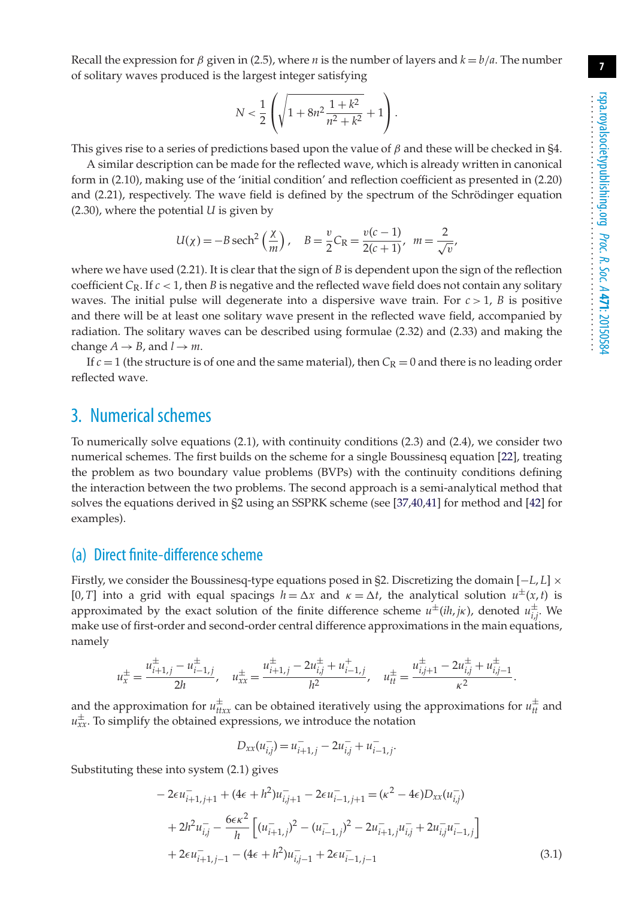Recall the expression for  $\beta$  given in (2.5), where *n* is the number of layers and  $k = b/a$ . The number of solitary waves produced is the largest integer satisfying

$$
N < \frac{1}{2} \left( \sqrt{1 + 8n^2 \frac{1 + k^2}{n^2 + k^2}} + 1 \right).
$$

This gives rise to a series of predictions based upon the value of  $\beta$  and these will be checked in §4.

A similar description can be made for the reflected wave, which is already written in canonical form in (2.10), making use of the 'initial condition' and reflection coefficient as presented in (2.20) and (2.21), respectively. The wave field is defined by the spectrum of the Schrödinger equation (2.30), where the potential *U* is given by

$$
U(\chi) = -B \operatorname{sech}^2\left(\frac{\chi}{m}\right), \quad B = \frac{v}{2}C_R = \frac{v(c-1)}{2(c+1)}, \ m = \frac{2}{\sqrt{v}},
$$

where we have used (2.21). It is clear that the sign of *B* is dependent upon the sign of the reflection coefficient  $C_R$ . If  $c < 1$ , then *B* is negative and the reflected wave field does not contain any solitary waves. The initial pulse will degenerate into a dispersive wave train. For  $c > 1$ , *B* is positive and there will be at least one solitary wave present in the reflected wave field, accompanied by radiation. The solitary waves can be described using formulae (2.32) and (2.33) and making the change  $A \rightarrow B$ , and  $l \rightarrow m$ .

If  $c = 1$  (the structure is of one and the same material), then  $C_R = 0$  and there is no leading order reflected wave.

## 3. Numerical schemes

To numerically solve equations (2.1), with continuity conditions (2.3) and (2.4), we consider two numerical schemes. The first builds on the scheme for a single Boussinesq equation [\[22\]](#page-18-2), treating the problem as two boundary value problems (BVPs) with the continuity conditions defining the interaction between the two problems. The second approach is a semi-analytical method that solves the equations derived in §2 using an SSPRK scheme (see [\[37,](#page-18-14)[40,](#page-18-17)[41\]](#page-18-18) for method and [\[42\]](#page-18-19) for examples).

#### (a) Direct finite-difference scheme

Firstly, we consider the Boussinesq-type equations posed in §2. Discretizing the domain [−*L*, *L*] × [0, *T*] into a grid with equal spacings  $h = \Delta x$  and  $\kappa = \Delta t$ , the analytical solution  $u^{\pm}(x, t)$  is approximated by the exact solution of the finite difference scheme  $u^{\pm}(ih, jk)$ , denoted  $u^{\pm}_{i,j}$ . We make use of first-order and second-order central difference approximations in the main equations, namely

$$
u_x^{\pm} = \frac{u_{i+1,j}^{\pm} - u_{i-1,j}^{\pm}}{2h}, \quad u_{xx}^{\pm} = \frac{u_{i+1,j}^{\pm} - 2u_{i,j}^{\pm} + u_{i-1,j}^{\pm}}{h^2}, \quad u_{tt}^{\pm} = \frac{u_{i,j+1}^{\pm} - 2u_{i,j}^{\pm} + u_{i,j-1}^{\pm}}{\kappa^2}.
$$

and the approximation for  $u_{ttx}^{\pm}$  can be obtained iteratively using the approximations for  $u_{tt}^{\pm}$  and  $u_{xx}^{\pm}$ . To simplify the obtained expressions, we introduce the notation

$$
D_{xx}(u_{i,j}^-) = u_{i+1,j}^- - 2u_{i,j}^- + u_{i-1,j}^-.
$$

Substituting these into system (2.1) gives

$$
-2\epsilon u_{i+1,j+1}^{-} + (4\epsilon + h^2)u_{i,j+1}^{-} - 2\epsilon u_{i-1,j+1}^{-} = (\kappa^2 - 4\epsilon)D_{xx}(u_{i,j}^{-})
$$
  
+ 
$$
2h^2 u_{i,j}^{-} - \frac{6\epsilon \kappa^2}{h} \left[ (u_{i+1,j}^{-})^2 - (u_{i-1,j}^{-})^2 - 2u_{i+1,j}^{-}u_{i,j}^{-} + 2u_{i,j}^{-}u_{i-1,j}^{-} \right]
$$
  
+ 
$$
2\epsilon u_{i+1,j-1}^{-} - (4\epsilon + h^2)u_{i,j-1}^{-} + 2\epsilon u_{i-1,j-1}^{-} \tag{3.1}
$$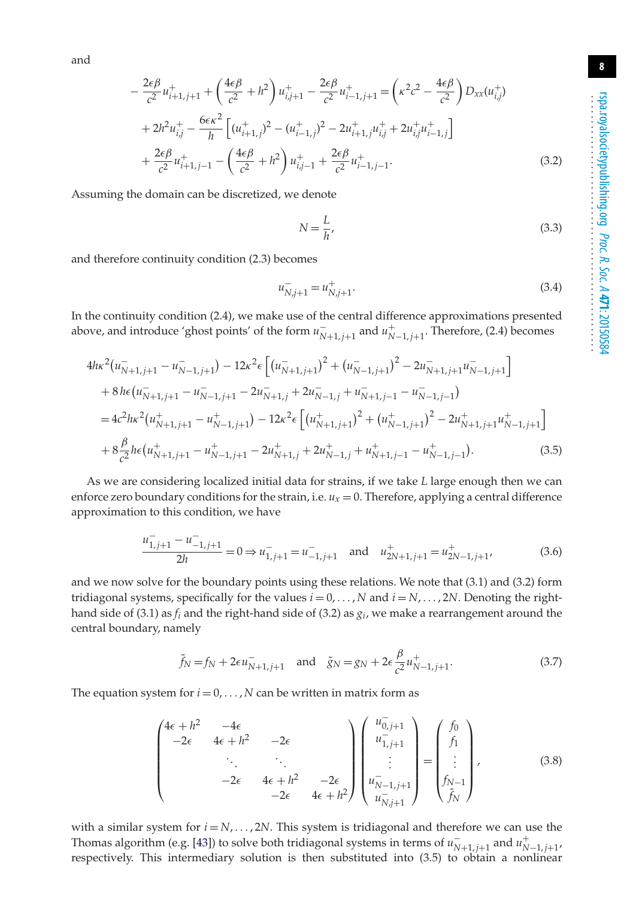and

$$
-\frac{2\epsilon\beta}{c^2}u_{i+1,j+1}^+ + \left(\frac{4\epsilon\beta}{c^2} + h^2\right)u_{i,j+1}^+ - \frac{2\epsilon\beta}{c^2}u_{i-1,j+1}^+ = \left(\kappa^2c^2 - \frac{4\epsilon\beta}{c^2}\right)D_{xx}(u_{i,j}^+) + 2h^2u_{i,j}^+ - \frac{6\epsilon\kappa^2}{h}\left[(u_{i+1,j}^+)^2 - (u_{i-1,j}^+)^2 - 2u_{i+1,j}^+u_{i,j}^+ + 2u_{i,j}^+u_{i-1,j}^+\right] + \frac{2\epsilon\beta}{c^2}u_{i+1,j-1}^+ - \left(\frac{4\epsilon\beta}{c^2} + h^2\right)u_{i,j-1}^+ + \frac{2\epsilon\beta}{c^2}u_{i-1,j-1}^+.
$$
 (3.2)

Assuming the domain can be discretized, we denote

$$
N = \frac{L}{h},\tag{3.3}
$$

and therefore continuity condition (2.3) becomes

$$
u_{N,j+1}^- = u_{N,j+1}^+.\tag{3.4}
$$

In the continuity condition (2.4), we make use of the central difference approximations presented above, and introduce 'ghost points' of the form  $u_{N+1,j+1}^-$  and  $u_{N-1,j+1}^+$ . Therefore, (2.4) becomes

$$
4h\kappa^{2}(u_{N+1,j+1}^{-} - u_{N-1,j+1}^{-}) - 12\kappa^{2}\epsilon \left[ (u_{N+1,j+1}^{-})^{2} + (u_{N-1,j+1}^{-})^{2} - 2u_{N+1,j+1}^{-}u_{N-1,j+1}^{-} \right] + 8h\epsilon (u_{N+1,j+1}^{-} - u_{N-1,j+1}^{-} - 2u_{N+1,j}^{-} + 2u_{N-1,j}^{-} + u_{N+1,j-1}^{-} - u_{N-1,j-1}^{-}) = 4c^{2}h\kappa^{2}(u_{N+1,j+1}^{+} - u_{N-1,j+1}^{+}) - 12\kappa^{2}\epsilon \left[ (u_{N+1,j+1}^{+})^{2} + (u_{N-1,j+1}^{+})^{2} - 2u_{N+1,j+1}^{+}u_{N-1,j+1}^{+} \right] + 8\frac{\beta}{c^{2}}h\epsilon (u_{N+1,j+1}^{+} - u_{N-1,j+1}^{+} - 2u_{N+1,j}^{+} + 2u_{N-1,j}^{+} + u_{N+1,j-1}^{+} - u_{N-1,j-1}^{+}). \tag{3.5}
$$

As we are considering localized initial data for strains, if we take *L* large enough then we can enforce zero boundary conditions for the strain, i.e.  $u_x = 0$ . Therefore, applying a central difference approximation to this condition, we have

$$
\frac{u_{1,j+1}^{-} - u_{-1,j+1}^{-}}{2h} = 0 \Rightarrow u_{1,j+1}^{-} = u_{-1,j+1}^{-} \text{ and } u_{2N+1,j+1}^{+} = u_{2N-1,j+1}^{+} \tag{3.6}
$$

and we now solve for the boundary points using these relations. We note that (3.1) and (3.2) form tridiagonal systems, specifically for the values  $i = 0, \ldots, N$  and  $i = N, \ldots, 2N$ . Denoting the righthand side of (3.1) as  $f_i$  and the right-hand side of (3.2) as  $g_i$ , we make a rearrangement around the central boundary, namely

$$
\tilde{f}_N = f_N + 2\epsilon u_{N+1,j+1}^-
$$
 and  $\tilde{g}_N = g_N + 2\epsilon \frac{\beta}{c^2} u_{N-1,j+1}^+$ . (3.7)

The equation system for  $i = 0, \ldots, N$  can be written in matrix form as

$$
\begin{pmatrix}\n4\epsilon + h^2 & -4\epsilon \\
-2\epsilon & 4\epsilon + h^2 & -2\epsilon \\
\vdots & \ddots & \vdots \\
-2\epsilon & 4\epsilon + h^2 & -2\epsilon \\
& \ddots & \ddots \\
-2\epsilon & 4\epsilon + h^2\n\end{pmatrix}\n\begin{pmatrix}\nu_{0,j+1} \\ u_{1,j+1} \\ \vdots \\ u_{1,j+1} \\ u_{N,j+1} \end{pmatrix}\n=\n\begin{pmatrix}\nf_0 \\ f_1 \\ \vdots \\ f_{N-1} \\ f_N \end{pmatrix},\n\tag{3.8}
$$

with a similar system for  $i = N, \ldots, 2N$ . This system is tridiagonal and therefore we can use the Thomas algorithm (e.g. [\[43\]](#page-18-20)) to solve both tridiagonal systems in terms of  $u_{N+1,j+1}^-$  and  $u_{N-1,j+1}^+$ , respectively. This intermediary solution is then substituted into (3.5) to obtain a nonlinear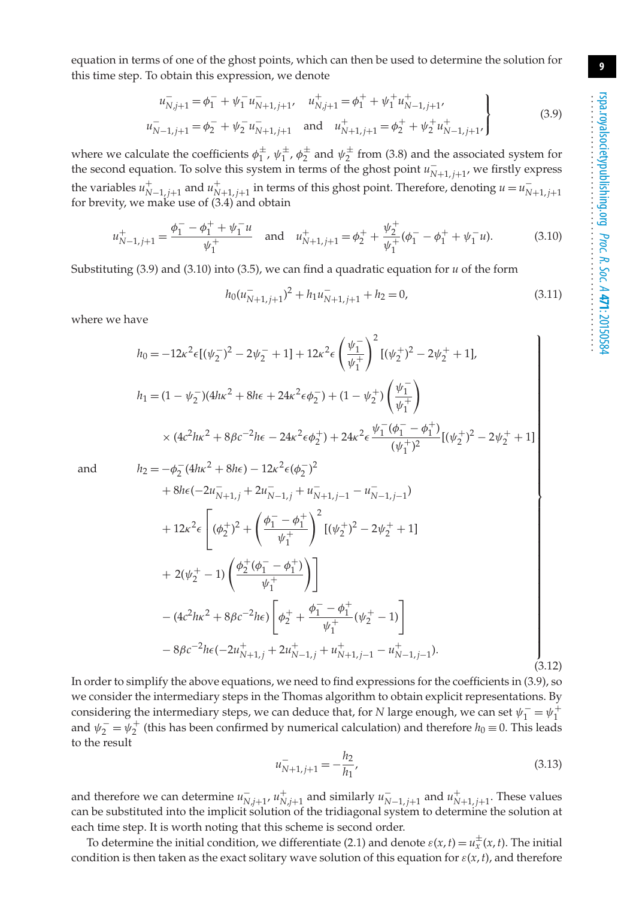equation in terms of one of the ghost points, which can then be used to determine the solution for this time step. To obtain this expression, we denote

$$
u_{N,j+1}^{-} = \phi_1^{-} + \psi_1^{-} u_{N+1,j+1}^{-}, \quad u_{N,j+1}^{+} = \phi_1^{+} + \psi_1^{+} u_{N-1,j+1}^{+},
$$
  
\n
$$
u_{N-1,j+1}^{-} = \phi_2^{-} + \psi_2^{-} u_{N+1,j+1}^{-}
$$
 and 
$$
u_{N+1,j+1}^{+} = \phi_2^{+} + \psi_2^{+} u_{N-1,j+1}^{+}
$$
 (3.9)

where we calculate the coefficients  $\phi_1^{\pm}$ ,  $\psi_1^{\pm}$ ,  $\phi_2^{\pm}$  and  $\psi_2^{\pm}$  from (3.8) and the associated system for the second equation. To solve this system in terms of the ghost point  $u_{N+1,j+1}^-$ , we firstly express the variables  $u_{N-1,j+1}^+$  and  $u_{N+1,j+1}^+$  in terms of this ghost point. Therefore, denoting  $u = u_{N+1,j+1}^$ for brevity, we make use of (3.4) and obtain

$$
u_{N-1,j+1}^{+} = \frac{\phi_1^{-} - \phi_1^{+} + \psi_1^{-} u}{\psi_1^{+}} \quad \text{and} \quad u_{N+1,j+1}^{+} = \phi_2^{+} + \frac{\psi_2^{+}}{\psi_1^{+}} (\phi_1^{-} - \phi_1^{+} + \psi_1^{-} u). \tag{3.10}
$$

Substituting (3.9) and (3.10) into (3.5), we can find a quadratic equation for *u* of the form

$$
h_0(u_{N+1,j+1}^-)^2 + h_1 u_{N+1,j+1}^- + h_2 = 0,
$$
\n(3.11)

where we have

$$
h_0 = -12\kappa^2 \epsilon \left[ (\psi_2^-)^2 - 2\psi_2^- + 1 \right] + 12\kappa^2 \epsilon \left( \frac{\psi_1^-}{\psi_1^+} \right)^2 \left[ (\psi_2^+)^2 - 2\psi_2^+ + 1 \right],
$$
  
\n
$$
h_1 = (1 - \psi_2^-)(4h\kappa^2 + 8h\epsilon + 24\kappa^2 \epsilon \phi_2^-) + (1 - \psi_2^+) \left( \frac{\psi_1^-}{\psi_1^+} \right)
$$
  
\n
$$
\times (4c^2h\kappa^2 + 8\beta c^{-2}h\epsilon - 24\kappa^2 \epsilon \phi_2^+) + 24\kappa^2 \epsilon \frac{\psi_1^- (\phi_1^- - \phi_1^+)}{(\psi_1^+)^2} \left[ (\psi_2^+)^2 - 2\psi_2^+ + 1 \right]
$$
  
\n
$$
h_2 = -\phi_2^- (4h\kappa^2 + 8h\epsilon) - 12\kappa^2 \epsilon (\phi_2^-)^2
$$
  
\n
$$
+ 8h\epsilon (-2u_{N+1,j}^- + 2u_{N-1,j}^- + u_{N+1,j-1}^- - u_{N-1,j-1}^-)
$$
  
\n
$$
+ 12\kappa^2 \epsilon \left[ (\phi_2^+)^2 + \left( \frac{\phi_1^- - \phi_1^+}{\psi_1^+} \right)^2 \left[ (\psi_2^+)^2 - 2\psi_2^+ + 1 \right] + 2(\psi_2^+ - 1) \left( \frac{\phi_2^+ (\phi_1^- - \phi_1^+)}{\psi_1^+} \right) \right]
$$

and

$$
a_2 = -\phi_2^-(4h\kappa^2 + 8h\epsilon) - 12\kappa^2\epsilon(\phi_2^-)^2
$$
  
+ 8h\epsilon(-2u\_{N+1,j}^- + 2u\_{N-1,j}^- + u\_{N+1,j-1}^- - u\_{N-1,j-1}^-)   
+ 12\kappa^2\epsilon \left[ (\phi\_2^+)^2 + \left(\frac{\phi\_1^- - \phi\_1^+}{\psi\_1^+}\right)^2 [(\psi\_2^+)^2 - 2\psi\_2^+ + 1] \right.  
+ 2(\psi\_2^+ - 1) \left( \frac{\phi\_2^+(\phi\_1^- - \phi\_1^+)}{\psi\_1^+} \right) \left. \right]  
- (4c^2hx^2 + 8\beta c^{-2}he) \left[ \phi\_2^+ + \frac{\phi\_1^- - \phi\_1^+}{\psi\_1^+} (\psi\_2^+ - 1) \right]  
- 8\beta c^{-2}he(-2u\_{N+1,j}^+ + 2u\_{N-1,j}^+ + u\_{N+1,j-1}^+ - u\_{N-1,j-1}^+). \tag{3.12}

In order to simplify the above equations, we need to find expressions for the coefficients in (3.9), so we consider the intermediary steps in the Thomas algorithm to obtain explicit representations. By considering the intermediary steps, we can deduce that, for *N* large enough, we can set  $\psi_1^- = \psi_1^+$ and  $\psi_2^- = \psi_2^+$  (this has been confirmed by numerical calculation) and therefore  $h_0 \equiv 0$ . This leads to the result

$$
u_{N+1,j+1}^- = -\frac{h_2}{h_1},\tag{3.13}
$$

and therefore we can determine  $u_{N,j+1}^-, u_{N,j+1}^+$  and similarly  $u_{N-1,j+1}^-$  and  $u_{N+1,j+1}^+$ . These values can be substituted into the implicit solution of the tridiagonal system to determine the solution at each time step. It is worth noting that this scheme is second order.

To determine the initial condition, we differentiate (2.1) and denote  $\varepsilon(x, t) = u_x^{\pm}(x, t)$ . The initial condition is then taken as the exact solitary wave solution of this equation for  $\varepsilon(x, t)$ , and therefore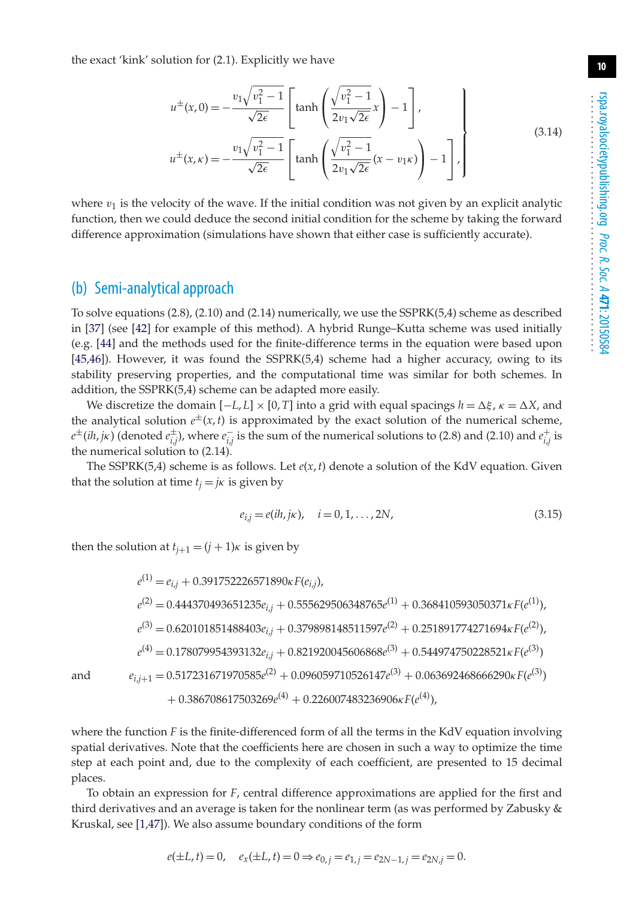rspa.royalsocietypublishing.org *Proc. R. Soc. A* **471**: 20150584 ...................................................

**10**

the exact 'kink' solution for (2.1). Explicitly we have

$$
u^{\pm}(x,0) = -\frac{v_1\sqrt{v_1^2 - 1}}{\sqrt{2\epsilon}} \left[ \tanh\left(\frac{\sqrt{v_1^2 - 1}}{2v_1\sqrt{2\epsilon}}x\right) - 1 \right],
$$
\n(3.14)

$$
u^{\pm}(x,\kappa) = -\frac{v_1\sqrt{v_1^2 - 1}}{\sqrt{2\epsilon}} \left[ \tanh\left( \frac{\sqrt{v_1^2 - 1}}{2v_1\sqrt{2\epsilon}} (x - v_1\kappa) \right) - 1 \right],
$$

where  $v_1$  is the velocity of the wave. If the initial condition was not given by an explicit analytic function, then we could deduce the second initial condition for the scheme by taking the forward difference approximation (simulations have shown that either case is sufficiently accurate).

#### (b) Semi-analytical approach

To solve equations (2.8), (2.10) and (2.14) numerically, we use the SSPRK(5,4) scheme as described in [\[37\]](#page-18-14) (see [\[42\]](#page-18-19) for example of this method). A hybrid Runge–Kutta scheme was used initially (e.g. [\[44\]](#page-18-21) and the methods used for the finite-difference terms in the equation were based upon [\[45](#page-18-22)[,46\]](#page-19-0)). However, it was found the SSPRK(5,4) scheme had a higher accuracy, owing to its stability preserving properties, and the computational time was similar for both schemes. In addition, the SSPRK(5,4) scheme can be adapted more easily.

We discretize the domain  $[-L, L] \times [0, T]$  into a grid with equal spacings  $h = \Delta \xi$ ,  $\kappa = \Delta X$ , and the analytical solution  $e^{\pm}(x, t)$  is approximated by the exact solution of the numerical scheme,  $e^{\pm}$ (*ih*, *j*k) (denoted  $e^{\pm}_{i,j}$ ), where  $e^-_{i,j}$  is the sum of the numerical solutions to (2.8) and (2.10) and  $e^+_{i,j}$  is the numerical solution to (2.14).

The SSPRK(5,4) scheme is as follows. Let  $e(x, t)$  denote a solution of the KdV equation. Given that the solution at time  $t_i = j\kappa$  is given by

$$
e_{i,j} = e(ih, j\kappa), \quad i = 0, 1, ..., 2N,
$$
\n(3.15)

then the solution at  $t_{i+1} = (j + 1)\kappa$  is given by

$$
e^{(1)} = e_{i,j} + 0.391752226571890\kappa F(e_{i,j}),
$$
\n
$$
e^{(2)} = 0.444370493651235e_{i,j} + 0.555629506348765e^{(1)} + 0.368410593050371\kappa F(e^{(1)}),
$$
\n
$$
e^{(3)} = 0.620101851488403e_{i,j} + 0.379898148511597e^{(2)} + 0.251891774271694\kappa F(e^{(2)}),
$$
\n
$$
e^{(4)} = 0.178079954393132e_{i,j} + 0.821920045606868e^{(3)} + 0.544974750228521\kappa F(e^{(3)})
$$
\nand\n
$$
e_{i,j+1} = 0.517231671970585e^{(2)} + 0.096059710526147e^{(3)} + 0.063692468666290\kappa F(e^{(3)})
$$
\n
$$
+ 0.386708617503269e^{(4)} + 0.226007483236906\kappa F(e^{(4)}),
$$

where the function *F* is the finite-differenced form of all the terms in the KdV equation involving spatial derivatives. Note that the coefficients here are chosen in such a way to optimize the time step at each point and, due to the complexity of each coefficient, are presented to 15 decimal places.

To obtain an expression for *F*, central difference approximations are applied for the first and third derivatives and an average is taken for the nonlinear term (as was performed by Zabusky & Kruskal, see [\[1](#page-17-0)[,47\]](#page-19-1)). We also assume boundary conditions of the form

$$
e(\pm L, t) = 0
$$
,  $e_x(\pm L, t) = 0 \Rightarrow e_{0,j} = e_{1,j} = e_{2N-1,j} = e_{2N,j} = 0$ .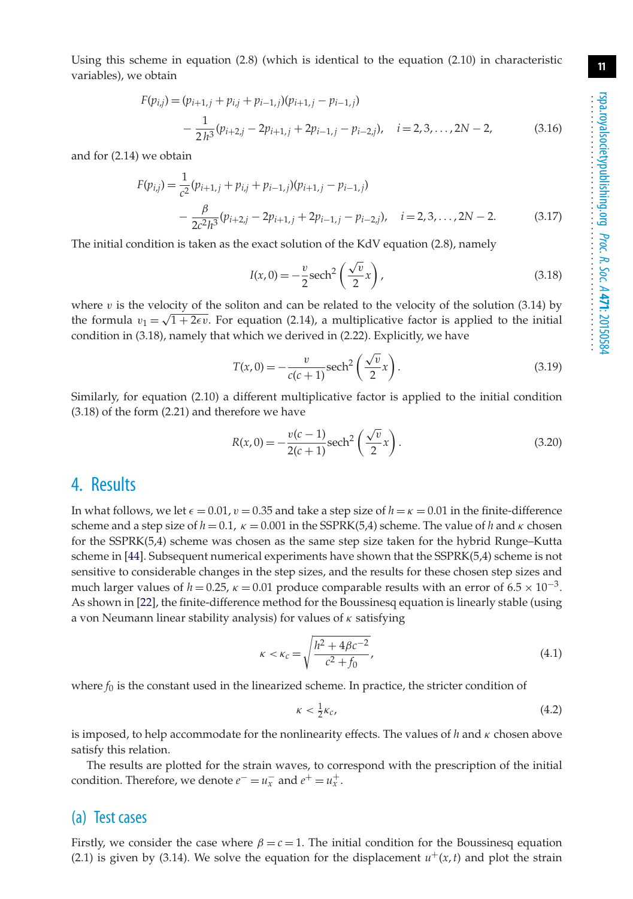Using this scheme in equation (2.8) (which is identical to the equation (2.10) in characteristic variables), we obtain

$$
F(p_{i,j}) = (p_{i+1,j} + p_{i,j} + p_{i-1,j})(p_{i+1,j} - p_{i-1,j})
$$
  
 
$$
- \frac{1}{2h^3}(p_{i+2,j} - 2p_{i+1,j} + 2p_{i-1,j} - p_{i-2,j}), \quad i = 2, 3, ..., 2N - 2,
$$
 (3.16)

and for (2.14) we obtain

$$
F(p_{i,j}) = \frac{1}{c^2} (p_{i+1,j} + p_{i,j} + p_{i-1,j}) (p_{i+1,j} - p_{i-1,j})
$$
  
 
$$
- \frac{\beta}{2c^2 h^3} (p_{i+2,j} - 2p_{i+1,j} + 2p_{i-1,j} - p_{i-2,j}), \quad i = 2, 3, ..., 2N - 2.
$$
 (3.17)

The initial condition is taken as the exact solution of the KdV equation (2.8), namely

$$
I(x,0) = -\frac{v}{2}\mathrm{sech}^2\left(\frac{\sqrt{v}}{2}x\right),\tag{3.18}
$$

where  $v$  is the velocity of the soliton and can be related to the velocity of the solution (3.14) by the formula  $v_1 = \sqrt{1 + 2\epsilon v}$ . For equation (2.14), a multiplicative factor is applied to the initial condition in (3.18), namely that which we derived in (2.22). Explicitly, we have

$$
T(x,0) = -\frac{v}{c(c+1)}\mathrm{sech}^2\left(\frac{\sqrt{v}}{2}x\right).
$$
\n(3.19)

Similarly, for equation (2.10) a different multiplicative factor is applied to the initial condition (3.18) of the form (2.21) and therefore we have

$$
R(x,0) = -\frac{v(c-1)}{2(c+1)}\text{sech}^2\left(\frac{\sqrt{v}}{2}x\right).
$$
 (3.20)

#### 4. Results

In what follows, we let  $\epsilon = 0.01$ ,  $v = 0.35$  and take a step size of  $h = \kappa = 0.01$  in the finite-difference scheme and a step size of  $h = 0.1$ ,  $\kappa = 0.001$  in the SSPRK(5,4) scheme. The value of h and  $\kappa$  chosen for the SSPRK(5,4) scheme was chosen as the same step size taken for the hybrid Runge–Kutta scheme in [\[44\]](#page-18-21). Subsequent numerical experiments have shown that the SSPRK(5,4) scheme is not sensitive to considerable changes in the step sizes, and the results for these chosen step sizes and much larger values of  $h = 0.25$ ,  $\kappa = 0.01$  produce comparable results with an error of  $6.5 \times 10^{-3}$ . As shown in [\[22\]](#page-18-2), the finite-difference method for the Boussinesq equation is linearly stable (using a von Neumann linear stability analysis) for values of  $\kappa$  satisfying

$$
\kappa < \kappa_c = \sqrt{\frac{h^2 + 4\beta c^{-2}}{c^2 + f_0}},\tag{4.1}
$$

where  $f_0$  is the constant used in the linearized scheme. In practice, the stricter condition of

$$
\kappa < \frac{1}{2}\kappa_c,\tag{4.2}
$$

is imposed, to help accommodate for the nonlinearity effects. The values of *h* and κ chosen above satisfy this relation.

The results are plotted for the strain waves, to correspond with the prescription of the initial condition. Therefore, we denote  $e^- = u_x^-$  and  $e^+ = u_x^+$ .

#### (a) Test cases

Firstly, we consider the case where  $\beta = c = 1$ . The initial condition for the Boussinesq equation (2.1) is given by (3.14). We solve the equation for the displacement  $u^+(x,t)$  and plot the strain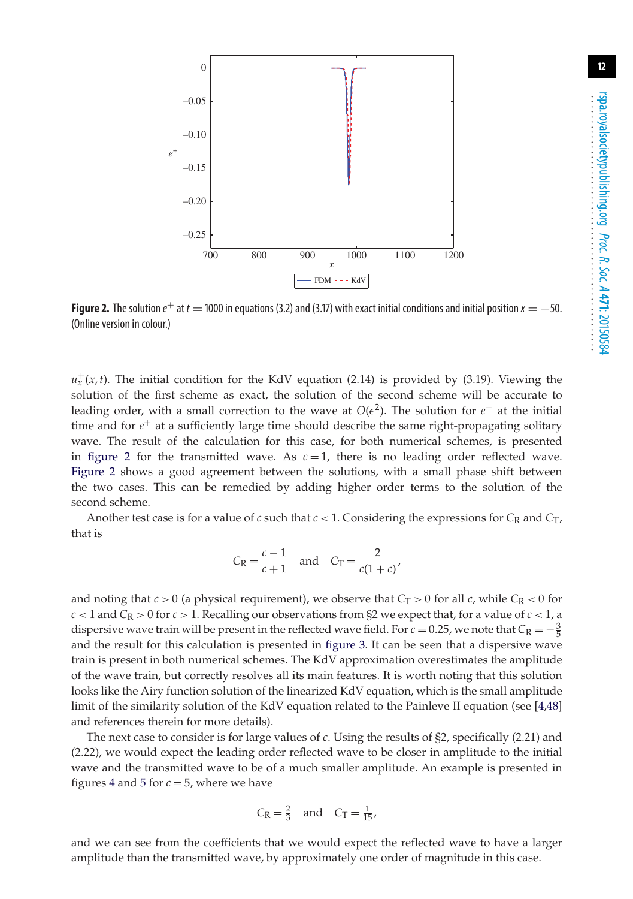

<span id="page-11-0"></span>**Figure 2.** The solution  $e^+$  at  $t = 1000$  in equations (3.2) and (3.17) with exact initial conditions and initial position  $x = -50$ . (Online version in colour.)

 $u_x^+(x,t)$ . The initial condition for the KdV equation (2.14) is provided by (3.19). Viewing the solution of the first scheme as exact, the solution of the second scheme will be accurate to leading order, with a small correction to the wave at  $O(\epsilon^2)$ . The solution for  $e^-$  at the initial time and for *e*+ at a sufficiently large time should describe the same right-propagating solitary wave. The result of the calculation for this case, for both numerical schemes, is presented in [figure 2](#page-11-0) for the transmitted wave. As  $c = 1$ , there is no leading order reflected wave. [Figure 2](#page-11-0) shows a good agreement between the solutions, with a small phase shift between the two cases. This can be remedied by adding higher order terms to the solution of the second scheme.

Another test case is for a value of  $c$  such that  $c < 1$ . Considering the expressions for  $C_R$  and  $C_T$ , that is

$$
C_{\rm R} = \frac{c-1}{c+1} \quad \text{and} \quad C_{\rm T} = \frac{2}{c(1+c)},
$$

and noting that  $c > 0$  (a physical requirement), we observe that  $C_T > 0$  for all *c*, while  $C_R < 0$  for  $c < 1$  and  $C_R > 0$  for  $c > 1$ . Recalling our observations from §2 we expect that, for a value of  $c < 1$ , a dispersive wave train will be present in the reflected wave field. For  $c = 0.25$ , we note that  $C_R = -\frac{3}{5}$ and the result for this calculation is presented in [figure 3.](#page-12-0) It can be seen that a dispersive wave train is present in both numerical schemes. The KdV approximation overestimates the amplitude of the wave train, but correctly resolves all its main features. It is worth noting that this solution looks like the Airy function solution of the linearized KdV equation, which is the small amplitude limit of the similarity solution of the KdV equation related to the Painleve II equation (see [\[4](#page-17-2)[,48\]](#page-19-2) and references therein for more details).

The next case to consider is for large values of *c*. Using the results of §2, specifically (2.21) and (2.22), we would expect the leading order reflected wave to be closer in amplitude to the initial wave and the transmitted wave to be of a much smaller amplitude. An example is presented in figures [4](#page-12-1) and [5](#page-13-0) for  $c = 5$ , where we have

$$
C_{\rm R} = \frac{2}{3} \quad \text{and} \quad C_{\rm T} = \frac{1}{15},
$$

and we can see from the coefficients that we would expect the reflected wave to have a larger amplitude than the transmitted wave, by approximately one order of magnitude in this case.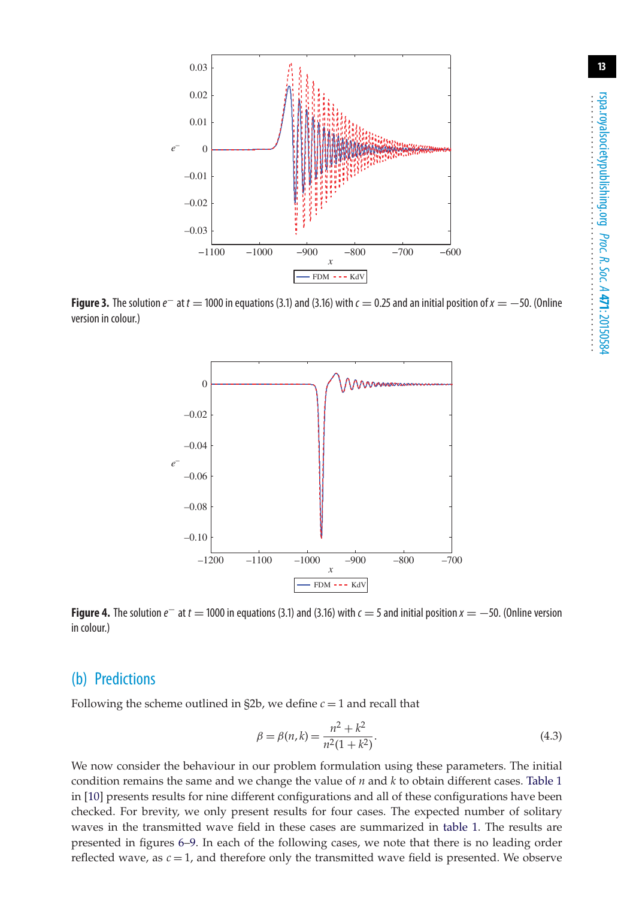

<span id="page-12-0"></span>**Figure 3.** The solution  $e^-$  at  $t = 1000$  in equations (3.1) and (3.16) with  $c = 0.25$  and an initial position of  $x = -50$ . (Online version in colour.)



<span id="page-12-1"></span>**Figure 4.** The solution  $e^-$  at  $t = 1000$  in equations (3.1) and (3.16) with  $c = 5$  and initial position  $x = -50$ . (Online version in colour.)

#### (b) Predictions

Following the scheme outlined in  $\S 2b$ , we define  $c = 1$  and recall that

$$
\beta = \beta(n,k) = \frac{n^2 + k^2}{n^2(1 + k^2)}.
$$
\n(4.3)

We now consider the behaviour in our problem formulation using these parameters. The initial condition remains the same and we change the value of *n* and *k* to obtain different cases. [Table 1](#page-13-1) in [\[10\]](#page-17-7) presents results for nine different configurations and all of these configurations have been checked. For brevity, we only present results for four cases. The expected number of solitary waves in the transmitted wave field in these cases are summarized in [table 1.](#page-13-1) The results are presented in figures [6–](#page-14-0)[9.](#page-15-0) In each of the following cases, we note that there is no leading order reflected wave, as  $c = 1$ , and therefore only the transmitted wave field is presented. We observe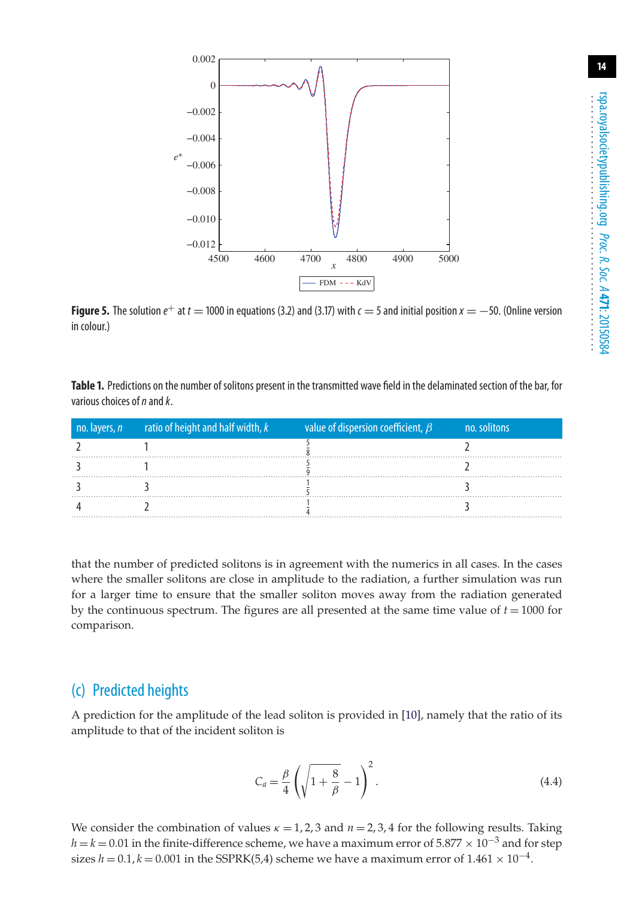

<span id="page-13-0"></span>**Figure 5.** The solution  $e^+$  at  $t = 1000$  in equations (3.2) and (3.17) with  $c = 5$  and initial position  $x = -50$ . (Online version in colour.)

<span id="page-13-1"></span>**Table 1.** Predictions on the number of solitons present in the transmitted wave field in the delaminated section of the bar, for various choices of*n*and*k*.

| no. layers, <i>n</i> ratio of height and half width, $k$ value of dispersion coefficient, $\beta$ | no. solitons |
|---------------------------------------------------------------------------------------------------|--------------|
|                                                                                                   |              |
|                                                                                                   |              |
|                                                                                                   |              |
|                                                                                                   |              |

that the number of predicted solitons is in agreement with the numerics in all cases. In the cases where the smaller solitons are close in amplitude to the radiation, a further simulation was run for a larger time to ensure that the smaller soliton moves away from the radiation generated by the continuous spectrum. The figures are all presented at the same time value of *t* = 1000 for comparison.

### (c) Predicted heights

A prediction for the amplitude of the lead soliton is provided in [\[10\]](#page-17-7), namely that the ratio of its amplitude to that of the incident soliton is

$$
C_a = \frac{\beta}{4} \left( \sqrt{1 + \frac{8}{\beta}} - 1 \right)^2.
$$
\n
$$
(4.4)
$$

We consider the combination of values  $\kappa = 1, 2, 3$  and  $n = 2, 3, 4$  for the following results. Taking  $h = k = 0.01$  in the finite-difference scheme, we have a maximum error of 5.877  $\times$  10<sup>-3</sup> and for step sizes  $h = 0.1$ ,  $k = 0.001$  in the SSPRK(5,4) scheme we have a maximum error of  $1.461 \times 10^{-4}$ .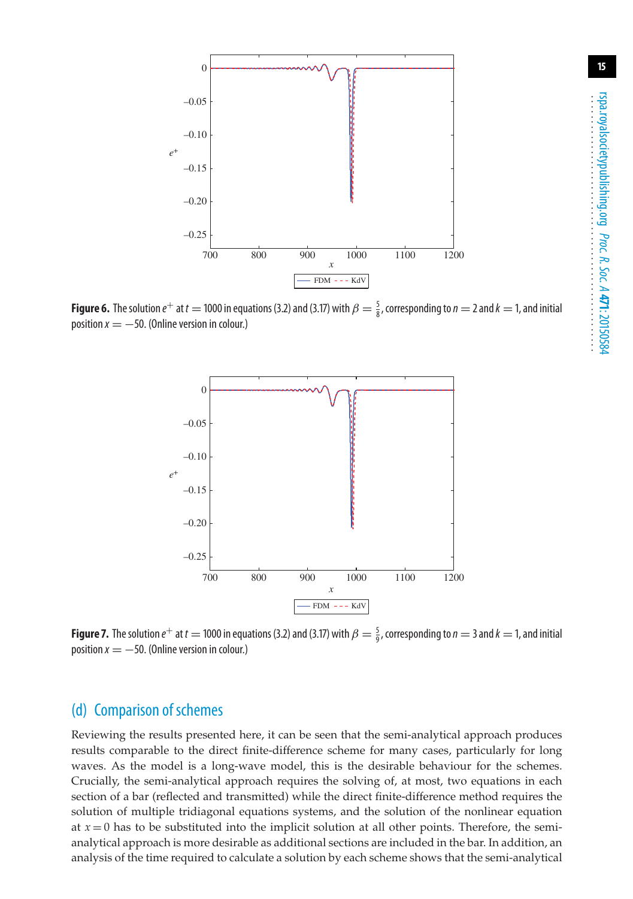

<span id="page-14-0"></span>**Figure 6.** The solution  $e^+$  at  $t = 1000$  in equations (3.2) and (3.17) with  $\beta = \frac{5}{8}$ , corresponding to  $n = 2$  and  $k = 1$ , and initial position  $x = -50$ . (Online version in colour.)



**Figure 7.** The solution  $e^+$  at  $t = 1000$  in equations (3.2) and (3.17) with  $\beta = \frac{5}{9}$ , corresponding to  $n = 3$  and  $k = 1$ , and initial position  $x = -50$ . (Online version in colour.)

## (d) Comparison of schemes

Reviewing the results presented here, it can be seen that the semi-analytical approach produces results comparable to the direct finite-difference scheme for many cases, particularly for long waves. As the model is a long-wave model, this is the desirable behaviour for the schemes. Crucially, the semi-analytical approach requires the solving of, at most, two equations in each section of a bar (reflected and transmitted) while the direct finite-difference method requires the solution of multiple tridiagonal equations systems, and the solution of the nonlinear equation at  $x = 0$  has to be substituted into the implicit solution at all other points. Therefore, the semianalytical approach is more desirable as additional sections are included in the bar. In addition, an analysis of the time required to calculate a solution by each scheme shows that the semi-analytical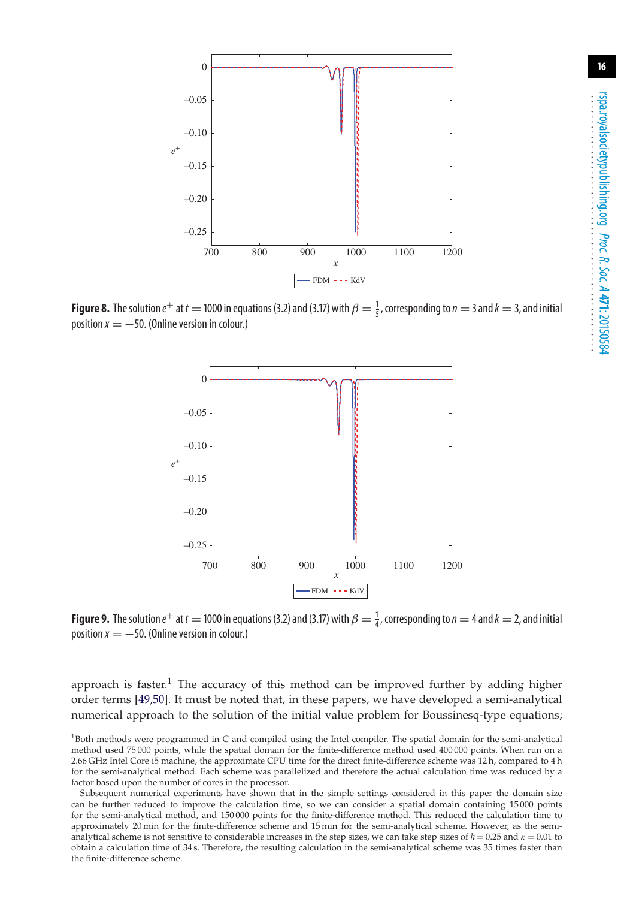

**Figure 8.** The solution  $e^+$  at  $t = 1000$  in equations (3.2) and (3.17) with  $\beta = \frac{1}{5}$ , corresponding to  $n = 3$  and  $k = 3$ , and initial position  $x = -50$ . (Online version in colour.)



<span id="page-15-0"></span>**Figure 9.** The solution  $e^+$  at  $t = 1000$  in equations (3.2) and (3.17) with  $\beta = \frac{1}{4}$ , corresponding to  $n = 4$  and  $k = 2$ , and initial position  $x = -50$ . (Online version in colour.)

approach is faster.<sup>1</sup> The accuracy of this method can be improved further by adding higher order terms [\[49,](#page-19-3)[50\]](#page-19-4). It must be noted that, in these papers, we have developed a semi-analytical numerical approach to the solution of the initial value problem for Boussinesq-type equations;

 $1B$ oth methods were programmed in C and compiled using the Intel compiler. The spatial domain for the semi-analytical method used 75 000 points, while the spatial domain for the finite-difference method used 400 000 points. When run on a 2.66 GHz Intel Core i5 machine, the approximate CPU time for the direct finite-difference scheme was 12 h, compared to 4 h for the semi-analytical method. Each scheme was parallelized and therefore the actual calculation time was reduced by a factor based upon the number of cores in the processor.

Subsequent numerical experiments have shown that in the simple settings considered in this paper the domain size can be further reduced to improve the calculation time, so we can consider a spatial domain containing 15 000 points for the semi-analytical method, and 150 000 points for the finite-difference method. This reduced the calculation time to approximately 20 min for the finite-difference scheme and 15 min for the semi-analytical scheme. However, as the semianalytical scheme is not sensitive to considerable increases in the step sizes, we can take step sizes of  $h = 0.25$  and  $\kappa = 0.01$  to obtain a calculation time of 34 s. Therefore, the resulting calculation in the semi-analytical scheme was 35 times faster than the finite-difference scheme.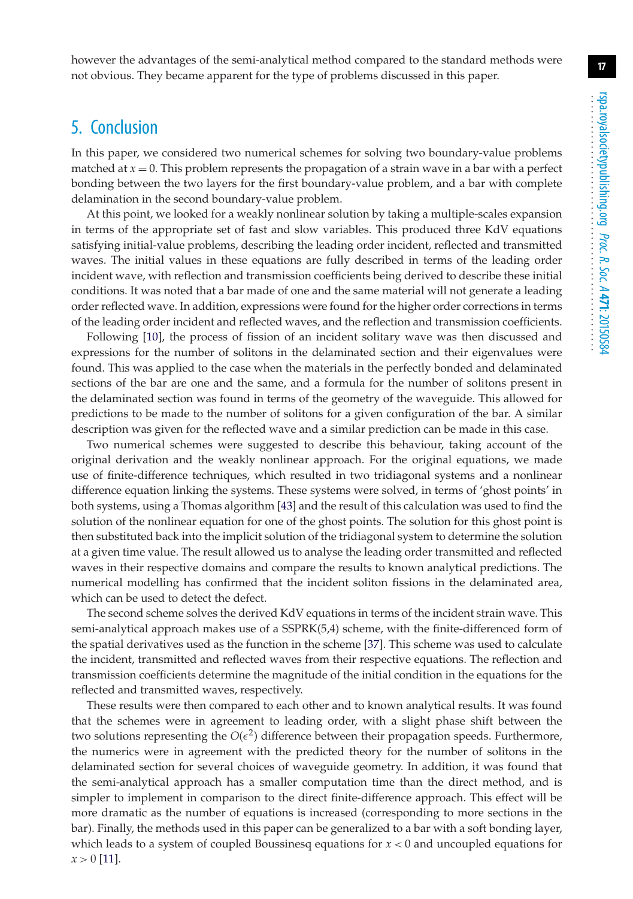however the advantages of the semi-analytical method compared to the standard methods were not obvious. They became apparent for the type of problems discussed in this paper.

## 5. Conclusion

In this paper, we considered two numerical schemes for solving two boundary-value problems matched at  $x = 0$ . This problem represents the propagation of a strain wave in a bar with a perfect bonding between the two layers for the first boundary-value problem, and a bar with complete delamination in the second boundary-value problem.

At this point, we looked for a weakly nonlinear solution by taking a multiple-scales expansion in terms of the appropriate set of fast and slow variables. This produced three KdV equations satisfying initial-value problems, describing the leading order incident, reflected and transmitted waves. The initial values in these equations are fully described in terms of the leading order incident wave, with reflection and transmission coefficients being derived to describe these initial conditions. It was noted that a bar made of one and the same material will not generate a leading order reflected wave. In addition, expressions were found for the higher order corrections in terms of the leading order incident and reflected waves, and the reflection and transmission coefficients.

Following [\[10\]](#page-17-7), the process of fission of an incident solitary wave was then discussed and expressions for the number of solitons in the delaminated section and their eigenvalues were found. This was applied to the case when the materials in the perfectly bonded and delaminated sections of the bar are one and the same, and a formula for the number of solitons present in the delaminated section was found in terms of the geometry of the waveguide. This allowed for predictions to be made to the number of solitons for a given configuration of the bar. A similar description was given for the reflected wave and a similar prediction can be made in this case.

Two numerical schemes were suggested to describe this behaviour, taking account of the original derivation and the weakly nonlinear approach. For the original equations, we made use of finite-difference techniques, which resulted in two tridiagonal systems and a nonlinear difference equation linking the systems. These systems were solved, in terms of 'ghost points' in both systems, using a Thomas algorithm [\[43\]](#page-18-20) and the result of this calculation was used to find the solution of the nonlinear equation for one of the ghost points. The solution for this ghost point is then substituted back into the implicit solution of the tridiagonal system to determine the solution at a given time value. The result allowed us to analyse the leading order transmitted and reflected waves in their respective domains and compare the results to known analytical predictions. The numerical modelling has confirmed that the incident soliton fissions in the delaminated area, which can be used to detect the defect.

The second scheme solves the derived KdV equations in terms of the incident strain wave. This semi-analytical approach makes use of a SSPRK(5,4) scheme, with the finite-differenced form of the spatial derivatives used as the function in the scheme [\[37\]](#page-18-14). This scheme was used to calculate the incident, transmitted and reflected waves from their respective equations. The reflection and transmission coefficients determine the magnitude of the initial condition in the equations for the reflected and transmitted waves, respectively.

These results were then compared to each other and to known analytical results. It was found that the schemes were in agreement to leading order, with a slight phase shift between the two solutions representing the  $O(\epsilon^2)$  difference between their propagation speeds. Furthermore, the numerics were in agreement with the predicted theory for the number of solitons in the delaminated section for several choices of waveguide geometry. In addition, it was found that the semi-analytical approach has a smaller computation time than the direct method, and is simpler to implement in comparison to the direct finite-difference approach. This effect will be more dramatic as the number of equations is increased (corresponding to more sections in the bar). Finally, the methods used in this paper can be generalized to a bar with a soft bonding layer, which leads to a system of coupled Boussinesq equations for *x* < 0 and uncoupled equations for  $x > 0$  [\[11\]](#page-17-14).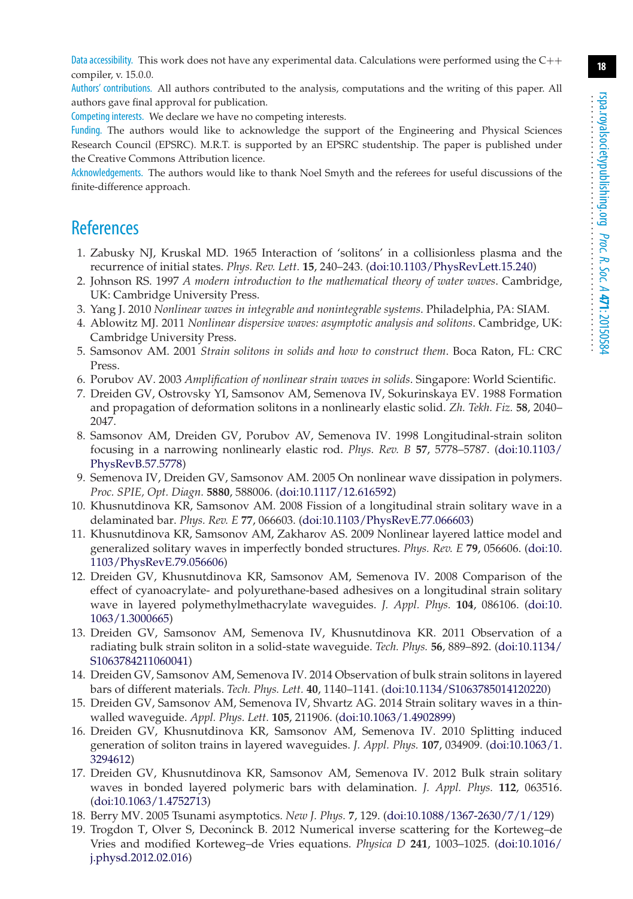Data accessibility. This work does not have any experimental data. Calculations were performed using the  $C_{++}$ compiler, v. 15.0.0.

Authors' contributions. All authors contributed to the analysis, computations and the writing of this paper. All authors gave final approval for publication.

Competing interests. We declare we have no competing interests.

Funding. The authors would like to acknowledge the support of the Engineering and Physical Sciences Research Council (EPSRC). M.R.T. is supported by an EPSRC studentship. The paper is published under the Creative Commons Attribution licence.

Acknowledgements. The authors would like to thank Noel Smyth and the referees for useful discussions of the finite-difference approach.

## <span id="page-17-0"></span>References

- 1. Zabusky NJ, Kruskal MD. 1965 Interaction of 'solitons' in a collisionless plasma and the recurrence of initial states. *Phys. Rev. Lett.* **15**, 240–243. [\(doi:10.1103/PhysRevLett.15.240\)](http://dx.doi.org/doi:10.1103/PhysRevLett.15.240)
- <span id="page-17-1"></span>2. Johnson RS. 1997 *A modern introduction to the mathematical theory of water waves*. Cambridge, UK: Cambridge University Press.
- <span id="page-17-2"></span>3. Yang J. 2010 *Nonlinear waves in integrable and nonintegrable systems*. Philadelphia, PA: SIAM.
- 4. Ablowitz MJ. 2011 *Nonlinear dispersive waves: asymptotic analysis and solitons*. Cambridge, UK: Cambridge University Press.
- <span id="page-17-3"></span>5. Samsonov AM. 2001 *Strain solitons in solids and how to construct them*. Boca Raton, FL: CRC Press.
- <span id="page-17-5"></span><span id="page-17-4"></span>6. Porubov AV. 2003 *Amplification of nonlinear strain waves in solids*. Singapore: World Scientific.
- 7. Dreiden GV, Ostrovsky YI, Samsonov AM, Semenova IV, Sokurinskaya EV. 1988 Formation and propagation of deformation solitons in a nonlinearly elastic solid. *Zh. Tekh. Fiz.* **58**, 2040– 2047.
- 8. Samsonov AM, Dreiden GV, Porubov AV, Semenova IV. 1998 Longitudinal-strain soliton focusing in a narrowing nonlinearly elastic rod. *Phys. Rev. B* **57**, 5778–5787. [\(doi:10.1103/](http://dx.doi.org/doi:10.1103/PhysRevB.57.5778) [PhysRevB.57.5778\)](http://dx.doi.org/doi:10.1103/PhysRevB.57.5778)
- <span id="page-17-6"></span>9. Semenova IV, Dreiden GV, Samsonov AM. 2005 On nonlinear wave dissipation in polymers. *Proc. SPIE, Opt. Diagn.* **5880**, 588006. [\(doi:10.1117/12.616592\)](http://dx.doi.org/doi:10.1117/12.616592)
- <span id="page-17-7"></span>10. Khusnutdinova KR, Samsonov AM. 2008 Fission of a longitudinal strain solitary wave in a delaminated bar. *Phys. Rev. E* **77**, 066603. [\(doi:10.1103/PhysRevE.77.066603\)](http://dx.doi.org/doi:10.1103/PhysRevE.77.066603)
- <span id="page-17-14"></span>11. Khusnutdinova KR, Samsonov AM, Zakharov AS. 2009 Nonlinear layered lattice model and generalized solitary waves in imperfectly bonded structures. *Phys. Rev. E* **79**, 056606. [\(doi:10.](http://dx.doi.org/doi:10.1103/PhysRevE.79.056606) [1103/PhysRevE.79.056606\)](http://dx.doi.org/doi:10.1103/PhysRevE.79.056606)
- 12. Dreiden GV, Khusnutdinova KR, Samsonov AM, Semenova IV. 2008 Comparison of the effect of cyanoacrylate- and polyurethane-based adhesives on a longitudinal strain solitary wave in layered polymethylmethacrylate waveguides. *J. Appl. Phys.* **104**, 086106. [\(doi:10.](http://dx.doi.org/doi:10.1063/1.3000665) [1063/1.3000665\)](http://dx.doi.org/doi:10.1063/1.3000665)
- 13. Dreiden GV, Samsonov AM, Semenova IV, Khusnutdinova KR. 2011 Observation of a radiating bulk strain soliton in a solid-state waveguide. *Tech. Phys.* **56**, 889–892. [\(doi:10.1134/](http://dx.doi.org/doi:10.1134/S1063784211060041) [S1063784211060041\)](http://dx.doi.org/doi:10.1134/S1063784211060041)
- <span id="page-17-8"></span>14. Dreiden GV, Samsonov AM, Semenova IV. 2014 Observation of bulk strain solitons in layered bars of different materials. *Tech. Phys. Lett.* **40**, 1140–1141. [\(doi:10.1134/S1063785014120220\)](http://dx.doi.org/doi:10.1134/S1063785014120220)
- <span id="page-17-9"></span>15. Dreiden GV, Samsonov AM, Semenova IV, Shvartz AG. 2014 Strain solitary waves in a thinwalled waveguide. *Appl. Phys. Lett.* **105**, 211906. [\(doi:10.1063/1.4902899\)](http://dx.doi.org/doi:10.1063/1.4902899)
- <span id="page-17-10"></span>16. Dreiden GV, Khusnutdinova KR, Samsonov AM, Semenova IV. 2010 Splitting induced generation of soliton trains in layered waveguides. *J. Appl. Phys.* **107**, 034909. [\(doi:10.1063/1.](http://dx.doi.org/doi:10.1063/1.3294612) [3294612\)](http://dx.doi.org/doi:10.1063/1.3294612)
- <span id="page-17-11"></span>17. Dreiden GV, Khusnutdinova KR, Samsonov AM, Semenova IV. 2012 Bulk strain solitary waves in bonded layered polymeric bars with delamination. *J. Appl. Phys.* **112**, 063516. [\(doi:10.1063/1.4752713\)](http://dx.doi.org/doi:10.1063/1.4752713)
- <span id="page-17-13"></span><span id="page-17-12"></span>18. Berry MV. 2005 Tsunami asymptotics. *New J. Phys.* **7**, 129. [\(doi:10.1088/1367-2630/7/1/129\)](http://dx.doi.org/doi:10.1088/1367-2630/7/1/129)
- 19. Trogdon T, Olver S, Deconinck B. 2012 Numerical inverse scattering for the Korteweg–de Vries and modified Korteweg–de Vries equations. *Physica D* **241**, 1003–1025. [\(doi:10.1016/](http://dx.doi.org/doi:10.1016/j.physd.2012.02.016) [j.physd.2012.02.016\)](http://dx.doi.org/doi:10.1016/j.physd.2012.02.016)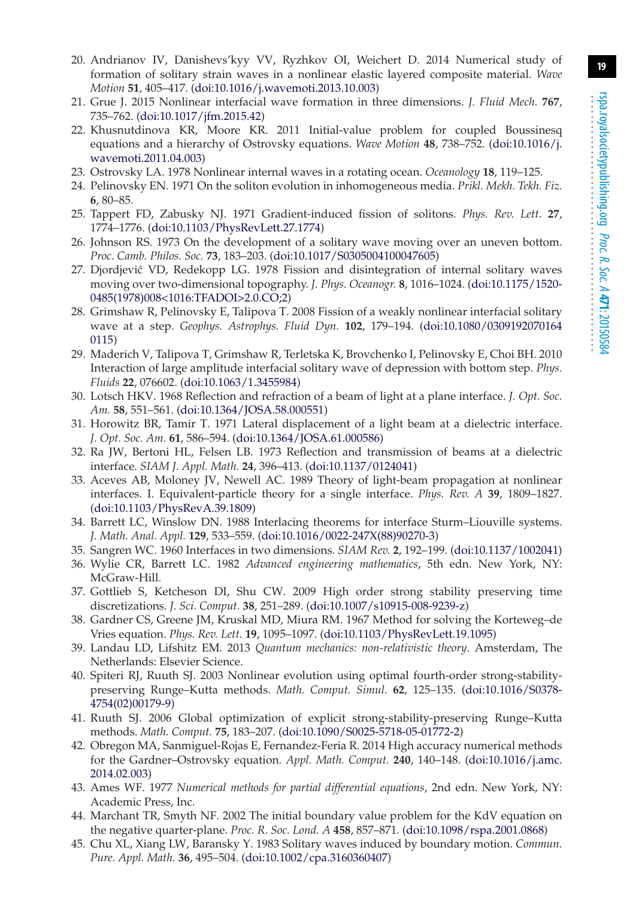- <span id="page-18-0"></span>20. Andrianov IV, Danishevs'kyy VV, Ryzhkov OI, Weichert D. 2014 Numerical study of formation of solitary strain waves in a nonlinear elastic layered composite material. *Wave Motion* **51**, 405–417. [\(doi:10.1016/j.wavemoti.2013.10.003\)](http://dx.doi.org/doi:10.1016/j.wavemoti.2013.10.003)
- <span id="page-18-1"></span>21. Grue J. 2015 Nonlinear interfacial wave formation in three dimensions. *J. Fluid Mech.* **767**, 735–762. [\(doi:10.1017/jfm.2015.42\)](http://dx.doi.org/doi:10.1017/jfm.2015.42)
- <span id="page-18-2"></span>22. Khusnutdinova KR, Moore KR. 2011 Initial-value problem for coupled Boussinesq equations and a hierarchy of Ostrovsky equations. *Wave Motion* **48**, 738–752. [\(doi:10.1016/j.](http://dx.doi.org/doi:10.1016/j.wavemoti.2011.04.003) [wavemoti.2011.04.003\)](http://dx.doi.org/doi:10.1016/j.wavemoti.2011.04.003)
- <span id="page-18-4"></span><span id="page-18-3"></span>23. Ostrovsky LA. 1978 Nonlinear internal waves in a rotating ocean. *Oceanology* **18**, 119–125.
- 24. Pelinovsky EN. 1971 On the soliton evolution in inhomogeneous media. *Prikl. Mekh. Tekh. Fiz.* **6**, 80–85.
- 25. Tappert FD, Zabusky NJ. 1971 Gradient-induced fission of solitons. *Phys. Rev. Lett.* **27**, 1774–1776. [\(doi:10.1103/PhysRevLett.27.1774\)](http://dx.doi.org/doi:10.1103/PhysRevLett.27.1774)
- <span id="page-18-5"></span>26. Johnson RS. 1973 On the development of a solitary wave moving over an uneven bottom. *Proc. Camb. Philos. Soc.* **73**, 183–203. [\(doi:10.1017/S0305004100047605\)](http://dx.doi.org/doi:10.1017/S0305004100047605)
- <span id="page-18-6"></span>27. Djordjević VD, Redekopp LG. 1978 Fission and disintegration of internal solitary waves moving over two-dimensional topography. *J. Phys. Oceanogr.* **8**, 1016–1024. [\(doi:10.1175/1520-](http://dx.doi.org/doi:10.1175/1520-0485(1978)008<1016:TFADOI>2.0.CO;2) [0485\(1978\)008<1016:TFADOI>2.0.CO;2\)](http://dx.doi.org/doi:10.1175/1520-0485(1978)008<1016:TFADOI>2.0.CO;2)
- 28. Grimshaw R, Pelinovsky E, Talipova T. 2008 Fission of a weakly nonlinear interfacial solitary wave at a step. *Geophys. Astrophys. Fluid Dyn.* **102**, 179–194. [\(doi:10.1080/0309192070164](http://dx.doi.org/doi:10.1080/03091920701640115) [0115\)](http://dx.doi.org/doi:10.1080/03091920701640115)
- <span id="page-18-7"></span>29. Maderich V, Talipova T, Grimshaw R, Terletska K, Brovchenko I, Pelinovsky E, Choi BH. 2010 Interaction of large amplitude interfacial solitary wave of depression with bottom step. *Phys. Fluids* **22**, 076602. [\(doi:10.1063/1.3455984\)](http://dx.doi.org/doi:10.1063/1.3455984)
- <span id="page-18-8"></span>30. Lotsch HKV. 1968 Reflection and refraction of a beam of light at a plane interface. *J. Opt. Soc. Am.* **58**, 551–561. [\(doi:10.1364/JOSA.58.000551\)](http://dx.doi.org/doi:10.1364/JOSA.58.000551)
- 31. Horowitz BR, Tamir T. 1971 Lateral displacement of a light beam at a dielectric interface. *J. Opt. Soc. Am.* **61**, 586–594. [\(doi:10.1364/JOSA.61.000586\)](http://dx.doi.org/doi:10.1364/JOSA.61.000586)
- <span id="page-18-9"></span>32. Ra JW, Bertoni HL, Felsen LB. 1973 Reflection and transmission of beams at a dielectric interface. *SIAM J. Appl. Math.* **24**, 396–413. [\(doi:10.1137/0124041\)](http://dx.doi.org/doi:10.1137/0124041)
- <span id="page-18-10"></span>33. Aceves AB, Moloney JV, Newell AC. 1989 Theory of light-beam propagation at nonlinear interfaces. I. Equivalent-particle theory for a single interface. *Phys. Rev. A* **39**, 1809–1827. [\(doi:10.1103/PhysRevA.39.1809\)](http://dx.doi.org/doi:10.1103/PhysRevA.39.1809)
- <span id="page-18-11"></span>34. Barrett LC, Winslow DN. 1988 Interlacing theorems for interface Sturm–Liouville systems. *J. Math. Anal. Appl.* **129**, 533–559. [\(doi:10.1016/0022-247X\(88\)90270-3\)](http://dx.doi.org/doi:10.1016/0022-247X(88)90270-3)
- <span id="page-18-13"></span><span id="page-18-12"></span>35. Sangren WC. 1960 Interfaces in two dimensions. *SIAM Rev.* **2**, 192–199. [\(doi:10.1137/1002041\)](http://dx.doi.org/doi:10.1137/1002041)
- 36. Wylie CR, Barrett LC. 1982 *Advanced engineering mathematics*, 5th edn. New York, NY: McGraw-Hill.
- <span id="page-18-14"></span>37. Gottlieb S, Ketcheson DI, Shu CW. 2009 High order strong stability preserving time discretizations. *J. Sci. Comput.* **38**, 251–289. [\(doi:10.1007/s10915-008-9239-z\)](http://dx.doi.org/doi:10.1007/s10915-008-9239-z)
- <span id="page-18-15"></span>38. Gardner CS, Greene JM, Kruskal MD, Miura RM. 1967 Method for solving the Korteweg–de Vries equation. *Phys. Rev. Lett.* **19**, 1095–1097. [\(doi:10.1103/PhysRevLett.19.1095\)](http://dx.doi.org/doi:10.1103/PhysRevLett.19.1095)
- <span id="page-18-16"></span>39. Landau LD, Lifshitz EM. 2013 *Quantum mechanics: non-relativistic theory*. Amsterdam, The Netherlands: Elsevier Science.
- <span id="page-18-17"></span>40. Spiteri RJ, Ruuth SJ. 2003 Nonlinear evolution using optimal fourth-order strong-stabilitypreserving Runge–Kutta methods. *Math. Comput. Simul.* **62**, 125–135. [\(doi:10.1016/S0378-](http://dx.doi.org/doi:10.1016/S0378-4754(02)00179-9) [4754\(02\)00179-9\)](http://dx.doi.org/doi:10.1016/S0378-4754(02)00179-9)
- <span id="page-18-18"></span>41. Ruuth SJ. 2006 Global optimization of explicit strong-stability-preserving Runge–Kutta methods. *Math. Comput.* **75**, 183–207. [\(doi:10.1090/S0025-5718-05-01772-2\)](http://dx.doi.org/doi:10.1090/S0025-5718-05-01772-2)
- <span id="page-18-19"></span>42. Obregon MA, Sanmiguel-Rojas E, Fernandez-Feria R. 2014 High accuracy numerical methods for the Gardner–Ostrovsky equation. *Appl. Math. Comput.* **240**, 140–148. [\(doi:10.1016/j.amc.](http://dx.doi.org/doi:10.1016/j.amc.2014.02.003) [2014.02.003\)](http://dx.doi.org/doi:10.1016/j.amc.2014.02.003)
- <span id="page-18-20"></span>43. Ames WF. 1977 *Numerical methods for partial differential equations*, 2nd edn. New York, NY: Academic Press, Inc.
- <span id="page-18-21"></span>44. Marchant TR, Smyth NF. 2002 The initial boundary value problem for the KdV equation on the negative quarter-plane. *Proc. R. Soc. Lond. A* **458**, 857–871. [\(doi:10.1098/rspa.2001.0868\)](http://dx.doi.org/doi:10.1098/rspa.2001.0868)
- <span id="page-18-22"></span>45. Chu XL, Xiang LW, Baransky Y. 1983 Solitary waves induced by boundary motion. *Commun. Pure. Appl. Math.* **36**, 495–504. [\(doi:10.1002/cpa.3160360407\)](http://dx.doi.org/doi:10.1002/cpa.3160360407)